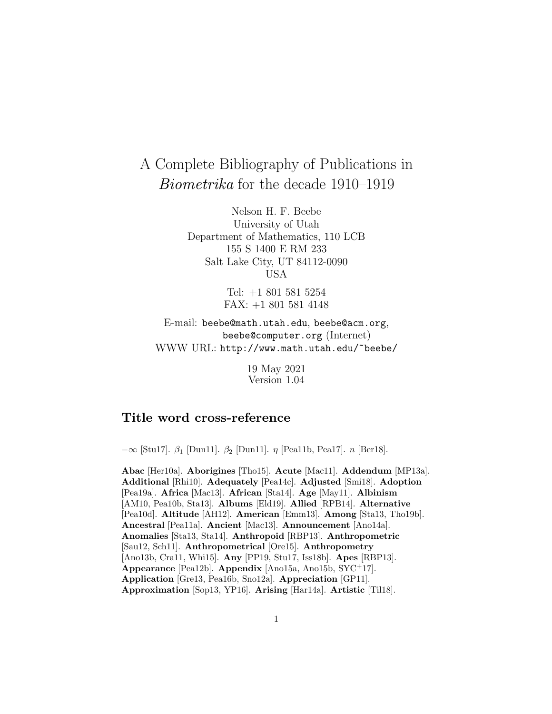# A Complete Bibliography of Publications in Biometrika for the decade 1910–1919

Nelson H. F. Beebe University of Utah Department of Mathematics, 110 LCB 155 S 1400 E RM 233 Salt Lake City, UT 84112-0090 USA

> Tel: +1 801 581 5254 FAX: +1 801 581 4148

E-mail: beebe@math.utah.edu, beebe@acm.org, beebe@computer.org (Internet) WWW URL: http://www.math.utah.edu/~beebe/

> 19 May 2021 Version 1.04

# **Title word cross-reference**

 $-\infty$  [Stu17]. β<sub>1</sub> [Dun11]. β<sub>2</sub> [Dun11]. η [Pea11b, Pea17]. *n* [Ber18].

**Abac** [Her10a]. **Aborigines** [Tho15]. **Acute** [Mac11]. **Addendum** [MP13a]. **Additional** [Rhi10]. **Adequately** [Pea14c]. **Adjusted** [Smi18]. **Adoption** [Pea19a]. **Africa** [Mac13]. **African** [Sta14]. **Age** [May11]. **Albinism** [AM10, Pea10b, Sta13]. **Albums** [Eld19]. **Allied** [RPB14]. **Alternative** [Pea10d]. **Altitude** [AH12]. **American** [Emm13]. **Among** [Sta13, Tho19b]. **Ancestral** [Pea11a]. **Ancient** [Mac13]. **Announcement** [Ano14a]. **Anomalies** [Sta13, Sta14]. **Anthropoid** [RBP13]. **Anthropometric** [Sau12, Sch11]. **Anthropometrical** [Ore15]. **Anthropometry** [Ano13b, Cra11, Whi15]. **Any** [PP19, Stu17, Iss18b]. **Apes** [RBP13]. **Appearance** [Pea12b]. **Appendix** [Ano15a, Ano15b, SYC<sup>+</sup>17]. **Application** [Gre13, Pea16b, Sno12a]. **Appreciation** [GP11]. **Approximation** [Sop13, YP16]. **Arising** [Har14a]. **Artistic** [Til18].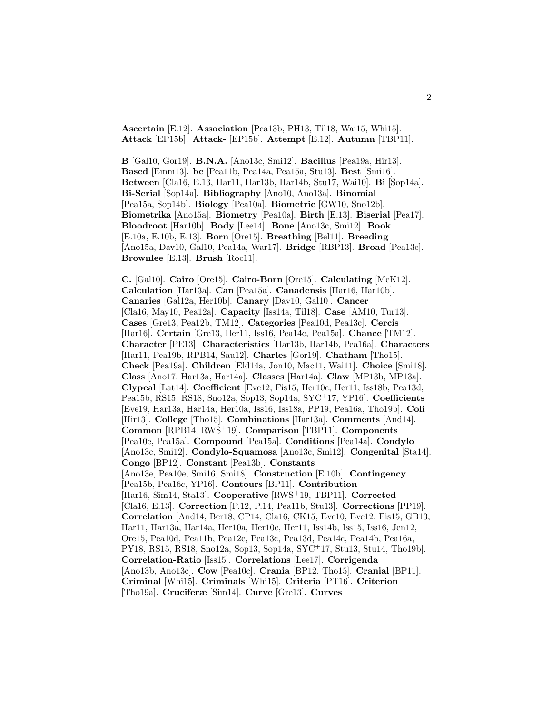**Ascertain** [E.12]. **Association** [Pea13b, PH13, Til18, Wai15, Whi15]. **Attack** [EP15b]. **Attack-** [EP15b]. **Attempt** [E.12]. **Autumn** [TBP11].

**B** [Gal10, Gor19]. **B.N.A.** [Ano13c, Smi12]. **Bacillus** [Pea19a, Hir13]. **Based** [Emm13]. **be** [Pea11b, Pea14a, Pea15a, Stu13]. **Best** [Smi16]. **Between** [Cla16, E.13, Har11, Har13b, Har14b, Stu17, Wai10]. **Bi** [Sop14a]. **Bi-Serial** [Sop14a]. **Bibliography** [Ano10, Ano13a]. **Binomial** [Pea15a, Sop14b]. **Biology** [Pea10a]. **Biometric** [GW10, Sno12b]. **Biometrika** [Ano15a]. **Biometry** [Pea10a]. **Birth** [E.13]. **Biserial** [Pea17]. **Bloodroot** [Har10b]. **Body** [Lee14]. **Bone** [Ano13c, Smi12]. **Book** [E.10a, E.10b, E.13]. **Born** [Ore15]. **Breathing** [Bel11]. **Breeding** [Ano15a, Dav10, Gal10, Pea14a, War17]. **Bridge** [RBP13]. **Broad** [Pea13c]. **Brownlee** [E.13]. **Brush** [Roc11].

**C.** [Gal10]. **Cairo** [Ore15]. **Cairo-Born** [Ore15]. **Calculating** [McK12]. **Calculation** [Har13a]. **Can** [Pea15a]. **Canadensis** [Har16, Har10b]. **Canaries** [Gal12a, Her10b]. **Canary** [Dav10, Gal10]. **Cancer** [Cla16, May10, Pea12a]. **Capacity** [Iss14a, Til18]. **Case** [AM10, Tur13]. **Cases** [Gre13, Pea12b, TM12]. **Categories** [Pea10d, Pea13c]. **Cercis** [Har16]. **Certain** [Gre13, Her11, Iss16, Pea14c, Pea15a]. **Chance** [TM12]. **Character** [PE13]. **Characteristics** [Har13b, Har14b, Pea16a]. **Characters** [Har11, Pea19b, RPB14, Sau12]. **Charles** [Gor19]. **Chatham** [Tho15]. **Check** [Pea19a]. **Children** [Eld14a, Jon10, Mac11, Wai11]. **Choice** [Smi18]. **Class** [Ano17, Har13a, Har14a]. **Classes** [Har14a]. **Claw** [MP13b, MP13a]. **Clypeal** [Lat14]. **Coefficient** [Eve12, Fis15, Her10c, Her11, Iss18b, Pea13d, Pea15b, RS15, RS18, Sno12a, Sop13, Sop14a, SYC<sup>+</sup>17, YP16]. **Coefficients** [Eve19, Har13a, Har14a, Her10a, Iss16, Iss18a, PP19, Pea16a, Tho19b]. **Coli** [Hir13]. **College** [Tho15]. **Combinations** [Har13a]. **Comments** [And14]. **Common** [RPB14, RWS<sup>+</sup>19]. **Comparison** [TBP11]. **Components** [Pea10e, Pea15a]. **Compound** [Pea15a]. **Conditions** [Pea14a]. **Condylo** [Ano13c, Smi12]. **Condylo-Squamosa** [Ano13c, Smi12]. **Congenital** [Sta14]. **Congo** [BP12]. **Constant** [Pea13b]. **Constants** [Ano13e, Pea10e, Smi16, Smi18]. **Construction** [E.10b]. **Contingency** [Pea15b, Pea16c, YP16]. **Contours** [BP11]. **Contribution** [Har16, Sim14, Sta13]. **Cooperative** [RWS<sup>+</sup>19, TBP11]. **Corrected** [Cla16, E.13]. **Correction** [P.12, P.14, Pea11b, Stu13]. **Corrections** [PP19]. **Correlation** [And14, Ber18, CP14, Cla16, CK15, Eve10, Eve12, Fis15, GB13, Har11, Har13a, Har14a, Her10a, Her10c, Her11, Iss14b, Iss15, Iss16, Jen12, Ore15, Pea10d, Pea11b, Pea12c, Pea13c, Pea13d, Pea14c, Pea14b, Pea16a, PY18, RS15, RS18, Sno12a, Sop13, Sop14a, SYC<sup>+</sup>17, Stu13, Stu14, Tho19b]. **Correlation-Ratio** [Iss15]. **Correlations** [Lee17]. **Corrigenda** [Ano13b, Ano13c]. **Cow** [Pea10c]. **Crania** [BP12, Tho15]. **Cranial** [BP11]. **Criminal** [Whi15]. **Criminals** [Whi15]. **Criteria** [PT16]. **Criterion** [Tho19a]. **Cruciferæ** [Sim14]. **Curve** [Gre13]. **Curves**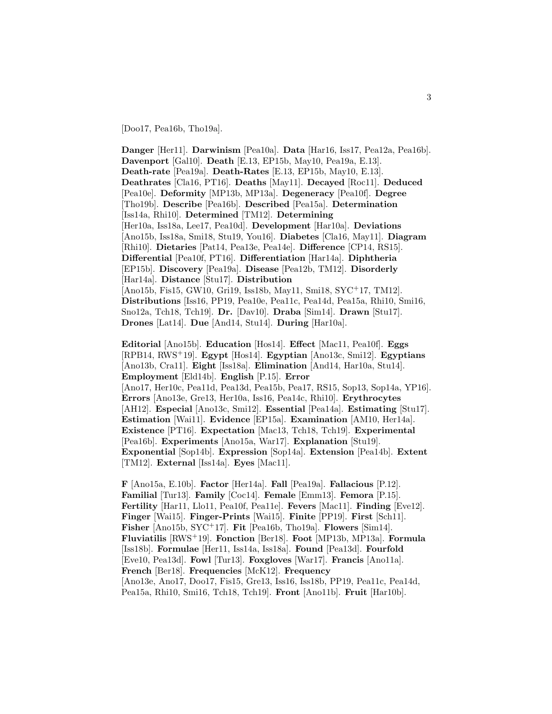[Doo17, Pea16b, Tho19a].

**Danger** [Her11]. **Darwinism** [Pea10a]. **Data** [Har16, Iss17, Pea12a, Pea16b]. **Davenport** [Gal10]. **Death** [E.13, EP15b, May10, Pea19a, E.13]. **Death-rate** [Pea19a]. **Death-Rates** [E.13, EP15b, May10, E.13]. **Deathrates** [Cla16, PT16]. **Deaths** [May11]. **Decayed** [Roc11]. **Deduced** [Pea10e]. **Deformity** [MP13b, MP13a]. **Degeneracy** [Pea10f]. **Degree** [Tho19b]. **Describe** [Pea16b]. **Described** [Pea15a]. **Determination** [Iss14a, Rhi10]. **Determined** [TM12]. **Determining** [Her10a, Iss18a, Lee17, Pea10d]. **Development** [Har10a]. **Deviations** [Ano15b, Iss18a, Smi18, Stu19, You16]. **Diabetes** [Cla16, May11]. **Diagram** [Rhi10]. **Dietaries** [Pat14, Pea13e, Pea14e]. **Difference** [CP14, RS15]. **Differential** [Pea10f, PT16]. **Differentiation** [Har14a]. **Diphtheria** [EP15b]. **Discovery** [Pea19a]. **Disease** [Pea12b, TM12]. **Disorderly** [Har14a]. **Distance** [Stu17]. **Distribution** [Ano15b, Fis15, GW10, Gri19, Iss18b, May11, Smi18, SYC<sup>+</sup>17, TM12]. **Distributions** [Iss16, PP19, Pea10e, Pea11c, Pea14d, Pea15a, Rhi10, Smi16, Sno12a, Tch18, Tch19]. **Dr.** [Dav10]. **Draba** [Sim14]. **Drawn** [Stu17]. **Drones** [Lat14]. **Due** [And14, Stu14]. **During** [Har10a].

**Editorial** [Ano15b]. **Education** [Hos14]. **Effect** [Mac11, Pea10f]. **Eggs** [RPB14, RWS<sup>+</sup>19]. **Egypt** [Hos14]. **Egyptian** [Ano13c, Smi12]. **Egyptians** [Ano13b, Cra11]. **Eight** [Iss18a]. **Elimination** [And14, Har10a, Stu14]. **Employment** [Eld14b]. **English** [P.15]. **Error** [Ano17, Her10c, Pea11d, Pea13d, Pea15b, Pea17, RS15, Sop13, Sop14a, YP16]. **Errors** [Ano13e, Gre13, Her10a, Iss16, Pea14c, Rhi10]. **Erythrocytes** [AH12]. **Especial** [Ano13c, Smi12]. **Essential** [Pea14a]. **Estimating** [Stu17]. **Estimation** [Wai11]. **Evidence** [EP15a]. **Examination** [AM10, Her14a]. **Existence** [PT16]. **Expectation** [Mac13, Tch18, Tch19]. **Experimental** [Pea16b]. **Experiments** [Ano15a, War17]. **Explanation** [Stu19]. **Exponential** [Sop14b]. **Expression** [Sop14a]. **Extension** [Pea14b]. **Extent** [TM12]. **External** [Iss14a]. **Eyes** [Mac11].

**F** [Ano15a, E.10b]. **Factor** [Her14a]. **Fall** [Pea19a]. **Fallacious** [P.12]. **Familial** [Tur13]. **Family** [Coc14]. **Female** [Emm13]. **Femora** [P.15]. **Fertility** [Har11, Llo11, Pea10f, Pea11e]. **Fevers** [Mac11]. **Finding** [Eve12]. **Finger** [Wai15]. **Finger-Prints** [Wai15]. **Finite** [PP19]. **First** [Sch11]. **Fisher** [Ano15b, SYC<sup>+</sup>17]. **Fit** [Pea16b, Tho19a]. **Flowers** [Sim14]. **Fluviatilis** [RWS<sup>+</sup>19]. **Fonction** [Ber18]. **Foot** [MP13b, MP13a]. **Formula** [Iss18b]. **Formulae** [Her11, Iss14a, Iss18a]. **Found** [Pea13d]. **Fourfold** [Eve10, Pea13d]. **Fowl** [Tur13]. **Foxgloves** [War17]. **Francis** [Ano11a]. **French** [Ber18]. **Frequencies** [McK12]. **Frequency** [Ano13e, Ano17, Doo17, Fis15, Gre13, Iss16, Iss18b, PP19, Pea11c, Pea14d, Pea15a, Rhi10, Smi16, Tch18, Tch19]. **Front** [Ano11b]. **Fruit** [Har10b].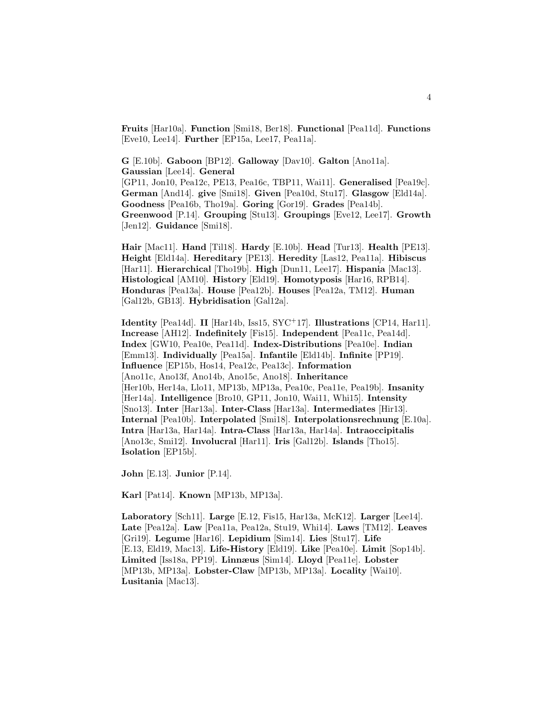**Fruits** [Har10a]. **Function** [Smi18, Ber18]. **Functional** [Pea11d]. **Functions** [Eve10, Lee14]. **Further** [EP15a, Lee17, Pea11a].

**G** [E.10b]. **Gaboon** [BP12]. **Galloway** [Dav10]. **Galton** [Ano11a]. **Gaussian** [Lee14]. **General** [GP11, Jon10, Pea12c, PE13, Pea16c, TBP11, Wai11]. **Generalised** [Pea19c]. **German** [And14]. **give** [Smi18]. **Given** [Pea10d, Stu17]. **Glasgow** [Eld14a]. **Goodness** [Pea16b, Tho19a]. **Goring** [Gor19]. **Grades** [Pea14b]. **Greenwood** [P.14]. **Grouping** [Stu13]. **Groupings** [Eve12, Lee17]. **Growth** [Jen12]. **Guidance** [Smi18].

**Hair** [Mac11]. **Hand** [Til18]. **Hardy** [E.10b]. **Head** [Tur13]. **Health** [PE13]. **Height** [Eld14a]. **Hereditary** [PE13]. **Heredity** [Las12, Pea11a]. **Hibiscus** [Har11]. **Hierarchical** [Tho19b]. **High** [Dun11, Lee17]. **Hispania** [Mac13]. **Histological** [AM10]. **History** [Eld19]. **Homotyposis** [Har16, RPB14]. **Honduras** [Pea13a]. **House** [Pea12b]. **Houses** [Pea12a, TM12]. **Human** [Gal12b, GB13]. **Hybridisation** [Gal12a].

**Identity** [Pea14d]. **II** [Har14b, Iss15, SYC<sup>+</sup>17]. **Illustrations** [CP14, Har11]. **Increase** [AH12]. **Indefinitely** [Fis15]. **Independent** [Pea11c, Pea14d]. **Index** [GW10, Pea10e, Pea11d]. **Index-Distributions** [Pea10e]. **Indian** [Emm13]. **Individually** [Pea15a]. **Infantile** [Eld14b]. **Infinite** [PP19]. **Influence** [EP15b, Hos14, Pea12c, Pea13c]. **Information** [Ano11c, Ano13f, Ano14b, Ano15c, Ano18]. **Inheritance** [Her10b, Her14a, Llo11, MP13b, MP13a, Pea10c, Pea11e, Pea19b]. **Insanity** [Her14a]. **Intelligence** [Bro10, GP11, Jon10, Wai11, Whi15]. **Intensity** [Sno13]. **Inter** [Har13a]. **Inter-Class** [Har13a]. **Intermediates** [Hir13]. **Internal** [Pea10b]. **Interpolated** [Smi18]. **Interpolationsrechnung** [E.10a]. **Intra** [Har13a, Har14a]. **Intra-Class** [Har13a, Har14a]. **Intraoccipitalis** [Ano13c, Smi12]. **Involucral** [Har11]. **Iris** [Gal12b]. **Islands** [Tho15]. **Isolation** [EP15b].

**John** [E.13]. **Junior** [P.14].

**Karl** [Pat14]. **Known** [MP13b, MP13a].

**Laboratory** [Sch11]. **Large** [E.12, Fis15, Har13a, McK12]. **Larger** [Lee14]. **Late** [Pea12a]. **Law** [Pea11a, Pea12a, Stu19, Whi14]. **Laws** [TM12]. **Leaves** [Gri19]. **Legume** [Har16]. **Lepidium** [Sim14]. **Lies** [Stu17]. **Life** [E.13, Eld19, Mac13]. **Life-History** [Eld19]. **Like** [Pea10e]. **Limit** [Sop14b]. **Limited** [Iss18a, PP19]. **Linnæus** [Sim14]. **Lloyd** [Pea11e]. **Lobster** [MP13b, MP13a]. **Lobster-Claw** [MP13b, MP13a]. **Locality** [Wai10]. **Lusitania** [Mac13].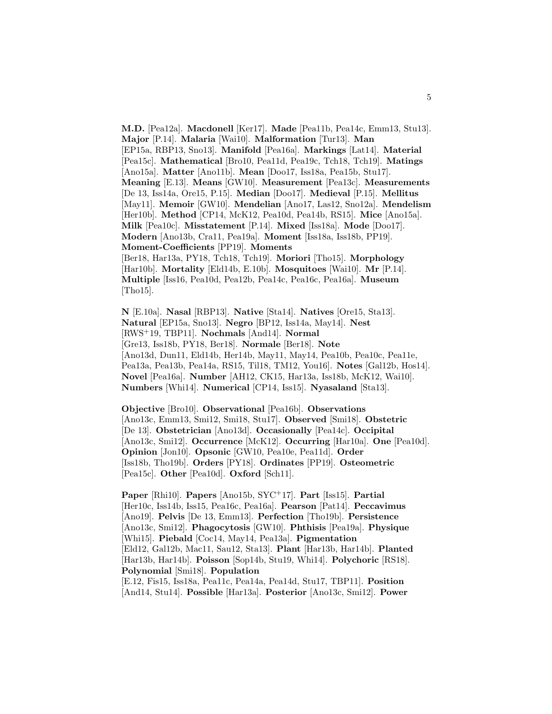**M.D.** [Pea12a]. **Macdonell** [Ker17]. **Made** [Pea11b, Pea14c, Emm13, Stu13]. **Major** [P.14]. **Malaria** [Wai10]. **Malformation** [Tur13]. **Man** [EP15a, RBP13, Sno13]. **Manifold** [Pea16a]. **Markings** [Lat14]. **Material** [Pea15c]. **Mathematical** [Bro10, Pea11d, Pea19c, Tch18, Tch19]. **Matings** [Ano15a]. **Matter** [Ano11b]. **Mean** [Doo17, Iss18a, Pea15b, Stu17]. **Meaning** [E.13]. **Means** [GW10]. **Measurement** [Pea13c]. **Measurements** [De 13, Iss14a, Ore15, P.15]. **Median** [Doo17]. **Medieval** [P.15]. **Mellitus** [May11]. **Memoir** [GW10]. **Mendelian** [Ano17, Las12, Sno12a]. **Mendelism** [Her10b]. **Method** [CP14, McK12, Pea10d, Pea14b, RS15]. **Mice** [Ano15a]. **Milk** [Pea10c]. **Misstatement** [P.14]. **Mixed** [Iss18a]. **Mode** [Doo17]. **Modern** [Ano13b, Cra11, Pea19a]. **Moment** [Iss18a, Iss18b, PP19]. **Moment-Coefficients** [PP19]. **Moments** [Ber18, Har13a, PY18, Tch18, Tch19]. **Moriori** [Tho15]. **Morphology** [Har10b]. **Mortality** [Eld14b, E.10b]. **Mosquitoes** [Wai10]. **Mr** [P.14]. **Multiple** [Iss16, Pea10d, Pea12b, Pea14c, Pea16c, Pea16a]. **Museum** [Tho15].

**N** [E.10a]. **Nasal** [RBP13]. **Native** [Sta14]. **Natives** [Ore15, Sta13]. **Natural** [EP15a, Sno13]. **Negro** [BP12, Iss14a, May14]. **Nest** [RWS<sup>+</sup>19, TBP11]. **Nochmals** [And14]. **Normal** [Gre13, Iss18b, PY18, Ber18]. **Normale** [Ber18]. **Note** [Ano13d, Dun11, Eld14b, Her14b, May11, May14, Pea10b, Pea10c, Pea11e, Pea13a, Pea13b, Pea14a, RS15, Til18, TM12, You16]. **Notes** [Gal12b, Hos14]. **Novel** [Pea16a]. **Number** [AH12, CK15, Har13a, Iss18b, McK12, Wai10]. **Numbers** [Whi14]. **Numerical** [CP14, Iss15]. **Nyasaland** [Sta13].

**Objective** [Bro10]. **Observational** [Pea16b]. **Observations** [Ano13c, Emm13, Smi12, Smi18, Stu17]. **Observed** [Smi18]. **Obstetric** [De 13]. **Obstetrician** [Ano13d]. **Occasionally** [Pea14c]. **Occipital** [Ano13c, Smi12]. **Occurrence** [McK12]. **Occurring** [Har10a]. **One** [Pea10d]. **Opinion** [Jon10]. **Opsonic** [GW10, Pea10e, Pea11d]. **Order** [Iss18b, Tho19b]. **Orders** [PY18]. **Ordinates** [PP19]. **Osteometric** [Pea15c]. **Other** [Pea10d]. **Oxford** [Sch11].

**Paper** [Rhi10]. **Papers** [Ano15b, SYC<sup>+</sup>17]. **Part** [Iss15]. **Partial** [Her10c, Iss14b, Iss15, Pea16c, Pea16a]. **Pearson** [Pat14]. **Peccavimus** [Ano19]. **Pelvis** [De 13, Emm13]. **Perfection** [Tho19b]. **Persistence** [Ano13c, Smi12]. **Phagocytosis** [GW10]. **Phthisis** [Pea19a]. **Physique** [Whi15]. **Piebald** [Coc14, May14, Pea13a]. **Pigmentation** [Eld12, Gal12b, Mac11, Sau12, Sta13]. **Plant** [Har13b, Har14b]. **Planted** [Har13b, Har14b]. **Poisson** [Sop14b, Stu19, Whi14]. **Polychoric** [RS18]. **Polynomial** [Smi18]. **Population**

[E.12, Fis15, Iss18a, Pea11c, Pea14a, Pea14d, Stu17, TBP11]. **Position** [And14, Stu14]. **Possible** [Har13a]. **Posterior** [Ano13c, Smi12]. **Power**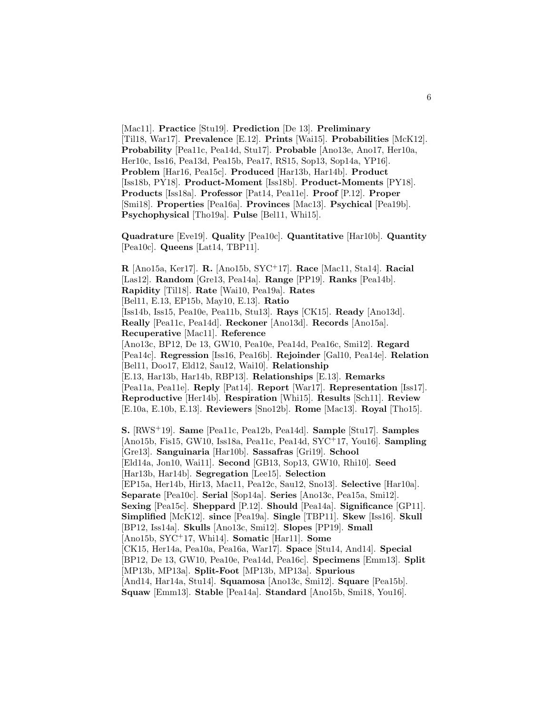[Mac11]. **Practice** [Stu19]. **Prediction** [De 13]. **Preliminary** [Til18, War17]. **Prevalence** [E.12]. **Prints** [Wai15]. **Probabilities** [McK12]. **Probability** [Pea11c, Pea14d, Stu17]. **Probable** [Ano13e, Ano17, Her10a, Her10c, Iss16, Pea13d, Pea15b, Pea17, RS15, Sop13, Sop14a, YP16]. **Problem** [Har16, Pea15c]. **Produced** [Har13b, Har14b]. **Product** [Iss18b, PY18]. **Product-Moment** [Iss18b]. **Product-Moments** [PY18]. **Products** [Iss18a]. **Professor** [Pat14, Pea11e]. **Proof** [P.12]. **Proper** [Smi18]. **Properties** [Pea16a]. **Provinces** [Mac13]. **Psychical** [Pea19b]. **Psychophysical** [Tho19a]. **Pulse** [Bel11, Whi15].

**Quadrature** [Eve19]. **Quality** [Pea10c]. **Quantitative** [Har10b]. **Quantity** [Pea10c]. **Queens** [Lat14, TBP11].

**R** [Ano15a, Ker17]. **R.** [Ano15b, SYC<sup>+</sup>17]. **Race** [Mac11, Sta14]. **Racial** [Las12]. **Random** [Gre13, Pea14a]. **Range** [PP19]. **Ranks** [Pea14b]. **Rapidity** [Til18]. **Rate** [Wai10, Pea19a]. **Rates** [Bel11, E.13, EP15b, May10, E.13]. **Ratio** [Iss14b, Iss15, Pea10e, Pea11b, Stu13]. **Rays** [CK15]. **Ready** [Ano13d]. **Really** [Pea11c, Pea14d]. **Reckoner** [Ano13d]. **Records** [Ano15a]. **Recuperative** [Mac11]. **Reference** [Ano13c, BP12, De 13, GW10, Pea10e, Pea14d, Pea16c, Smi12]. **Regard** [Pea14c]. **Regression** [Iss16, Pea16b]. **Rejoinder** [Gal10, Pea14e]. **Relation** [Bel11, Doo17, Eld12, Sau12, Wai10]. **Relationship** [E.13, Har13b, Har14b, RBP13]. **Relationships** [E.13]. **Remarks** [Pea11a, Pea11e]. **Reply** [Pat14]. **Report** [War17]. **Representation** [Iss17]. **Reproductive** [Her14b]. **Respiration** [Whi15]. **Results** [Sch11]. **Review** [E.10a, E.10b, E.13]. **Reviewers** [Sno12b]. **Rome** [Mac13]. **Royal** [Tho15]. **S.** [RWS<sup>+</sup>19]. **Same** [Pea11c, Pea12b, Pea14d]. **Sample** [Stu17]. **Samples** [Ano15b, Fis15, GW10, Iss18a, Pea11c, Pea14d, SYC<sup>+</sup>17, You16]. **Sampling** [Gre13]. **Sanguinaria** [Har10b]. **Sassafras** [Gri19]. **School** [Eld14a, Jon10, Wai11]. **Second** [GB13, Sop13, GW10, Rhi10]. **Seed** [Har13b, Har14b]. **Segregation** [Lee15]. **Selection** [EP15a, Her14b, Hir13, Mac11, Pea12c, Sau12, Sno13]. **Selective** [Har10a].

**Separate** [Pea10c]. **Serial** [Sop14a]. **Series** [Ano13c, Pea15a, Smi12]. **Sexing** [Pea15c]. **Sheppard** [P.12]. **Should** [Pea14a]. **Significance** [GP11]. **Simplified** [McK12]. **since** [Pea19a]. **Single** [TBP11]. **Skew** [Iss16]. **Skull** [BP12, Iss14a]. **Skulls** [Ano13c, Smi12]. **Slopes** [PP19]. **Small** [Ano15b, SYC<sup>+</sup>17, Whi14]. **Somatic** [Har11]. **Some** [CK15, Her14a, Pea10a, Pea16a, War17]. **Space** [Stu14, And14]. **Special** [BP12, De 13, GW10, Pea10e, Pea14d, Pea16c]. **Specimens** [Emm13]. **Split** [MP13b, MP13a]. **Split-Foot** [MP13b, MP13a]. **Spurious** [And14, Har14a, Stu14]. **Squamosa** [Ano13c, Smi12]. **Square** [Pea15b]. **Squaw** [Emm13]. **Stable** [Pea14a]. **Standard** [Ano15b, Smi18, You16].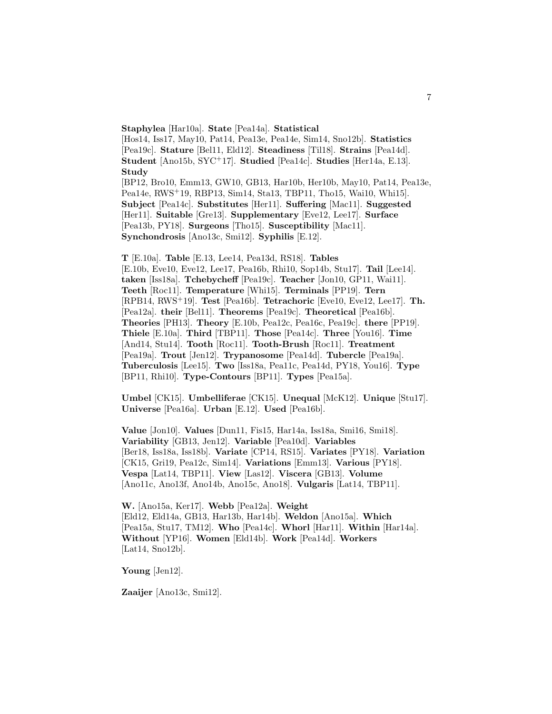**Staphylea** [Har10a]. **State** [Pea14a]. **Statistical** [Hos14, Iss17, May10, Pat14, Pea13e, Pea14e, Sim14, Sno12b]. **Statistics** [Pea19c]. **Stature** [Bel11, Eld12]. **Steadiness** [Til18]. **Strains** [Pea14d]. **Student** [Ano15b, SYC<sup>+</sup>17]. **Studied** [Pea14c]. **Studies** [Her14a, E.13]. **Study** [BP12, Bro10, Emm13, GW10, GB13, Har10b, Her10b, May10, Pat14, Pea13e, Pea14e, RWS<sup>+</sup>19, RBP13, Sim14, Sta13, TBP11, Tho15, Wai10, Whi15]. **Subject** [Pea14c]. **Substitutes** [Her11]. **Suffering** [Mac11]. **Suggested** [Her11]. **Suitable** [Gre13]. **Supplementary** [Eve12, Lee17]. **Surface** [Pea13b, PY18]. **Surgeons** [Tho15]. **Susceptibility** [Mac11]. **Synchondrosis** [Ano13c, Smi12]. **Syphilis** [E.12].

**T** [E.10a]. **Table** [E.13, Lee14, Pea13d, RS18]. **Tables** [E.10b, Eve10, Eve12, Lee17, Pea16b, Rhi10, Sop14b, Stu17]. **Tail** [Lee14]. **taken** [Iss18a]. **Tchebycheff** [Pea19c]. **Teacher** [Jon10, GP11, Wai11]. **Teeth** [Roc11]. **Temperature** [Whi15]. **Terminals** [PP19]. **Tern** [RPB14, RWS<sup>+</sup>19]. **Test** [Pea16b]. **Tetrachoric** [Eve10, Eve12, Lee17]. **Th.** [Pea12a]. **their** [Bel11]. **Theorems** [Pea19c]. **Theoretical** [Pea16b]. **Theories** [PH13]. **Theory** [E.10b, Pea12c, Pea16c, Pea19c]. **there** [PP19]. **Thiele** [E.10a]. **Third** [TBP11]. **Those** [Pea14c]. **Three** [You16]. **Time** [And14, Stu14]. **Tooth** [Roc11]. **Tooth-Brush** [Roc11]. **Treatment** [Pea19a]. **Trout** [Jen12]. **Trypanosome** [Pea14d]. **Tubercle** [Pea19a]. **Tuberculosis** [Lee15]. **Two** [Iss18a, Pea11c, Pea14d, PY18, You16]. **Type** [BP11, Rhi10]. **Type-Contours** [BP11]. **Types** [Pea15a].

**Umbel** [CK15]. **Umbelliferae** [CK15]. **Unequal** [McK12]. **Unique** [Stu17]. **Universe** [Pea16a]. **Urban** [E.12]. **Used** [Pea16b].

**Value** [Jon10]. **Values** [Dun11, Fis15, Har14a, Iss18a, Smi16, Smi18]. **Variability** [GB13, Jen12]. **Variable** [Pea10d]. **Variables** [Ber18, Iss18a, Iss18b]. **Variate** [CP14, RS15]. **Variates** [PY18]. **Variation** [CK15, Gri19, Pea12c, Sim14]. **Variations** [Emm13]. **Various** [PY18]. **Vespa** [Lat14, TBP11]. **View** [Las12]. **Viscera** [GB13]. **Volume** [Ano11c, Ano13f, Ano14b, Ano15c, Ano18]. **Vulgaris** [Lat14, TBP11].

**W.** [Ano15a, Ker17]. **Webb** [Pea12a]. **Weight** [Eld12, Eld14a, GB13, Har13b, Har14b]. **Weldon** [Ano15a]. **Which** [Pea15a, Stu17, TM12]. **Who** [Pea14c]. **Whorl** [Har11]. **Within** [Har14a]. **Without** [YP16]. **Women** [Eld14b]. **Work** [Pea14d]. **Workers** [Lat14, Sno12b].

**Young** [Jen12].

**Zaaijer** [Ano13c, Smi12].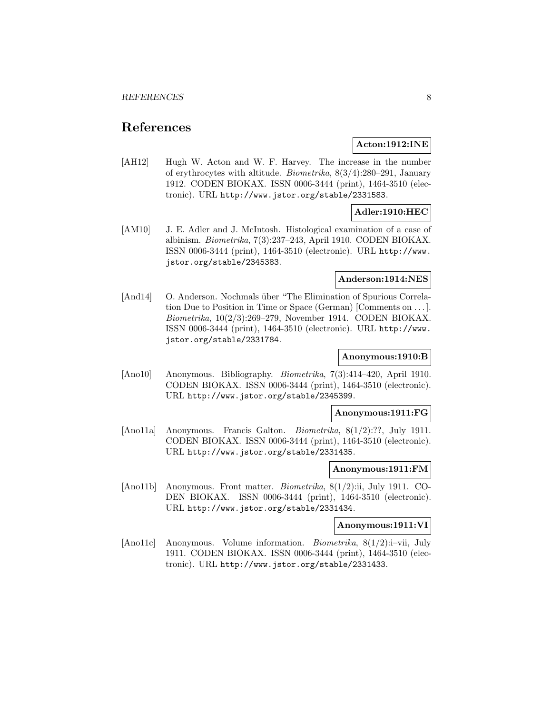# **References**

### **Acton:1912:INE**

[AH12] Hugh W. Acton and W. F. Harvey. The increase in the number of erythrocytes with altitude. Biometrika, 8(3/4):280–291, January 1912. CODEN BIOKAX. ISSN 0006-3444 (print), 1464-3510 (electronic). URL http://www.jstor.org/stable/2331583.

# **Adler:1910:HEC**

[AM10] J. E. Adler and J. McIntosh. Histological examination of a case of albinism. Biometrika, 7(3):237–243, April 1910. CODEN BIOKAX. ISSN 0006-3444 (print), 1464-3510 (electronic). URL http://www. jstor.org/stable/2345383.

### **Anderson:1914:NES**

[And14] O. Anderson. Nochmals über "The Elimination of Spurious Correlation Due to Position in Time or Space (German) [Comments on ... ]. Biometrika, 10(2/3):269–279, November 1914. CODEN BIOKAX. ISSN 0006-3444 (print), 1464-3510 (electronic). URL http://www. jstor.org/stable/2331784.

# **Anonymous:1910:B**

[Ano10] Anonymous. Bibliography. Biometrika, 7(3):414–420, April 1910. CODEN BIOKAX. ISSN 0006-3444 (print), 1464-3510 (electronic). URL http://www.jstor.org/stable/2345399.

#### **Anonymous:1911:FG**

[Ano11a] Anonymous. Francis Galton. Biometrika, 8(1/2):??, July 1911. CODEN BIOKAX. ISSN 0006-3444 (print), 1464-3510 (electronic). URL http://www.jstor.org/stable/2331435.

#### **Anonymous:1911:FM**

[Ano11b] Anonymous. Front matter. Biometrika, 8(1/2):ii, July 1911. CO-DEN BIOKAX. ISSN 0006-3444 (print), 1464-3510 (electronic). URL http://www.jstor.org/stable/2331434.

### **Anonymous:1911:VI**

[Ano11c] Anonymous. Volume information. Biometrika, 8(1/2):i–vii, July 1911. CODEN BIOKAX. ISSN 0006-3444 (print), 1464-3510 (electronic). URL http://www.jstor.org/stable/2331433.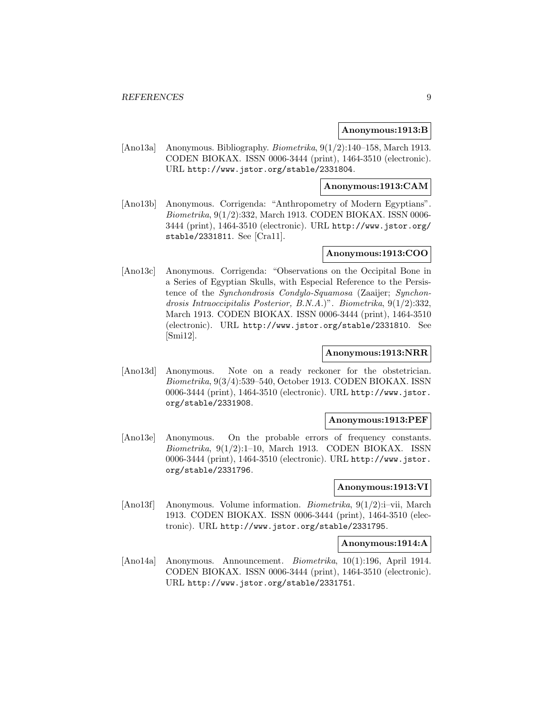#### **Anonymous:1913:B**

[Ano13a] Anonymous. Bibliography. Biometrika, 9(1/2):140–158, March 1913. CODEN BIOKAX. ISSN 0006-3444 (print), 1464-3510 (electronic). URL http://www.jstor.org/stable/2331804.

### **Anonymous:1913:CAM**

[Ano13b] Anonymous. Corrigenda: "Anthropometry of Modern Egyptians". Biometrika, 9(1/2):332, March 1913. CODEN BIOKAX. ISSN 0006- 3444 (print), 1464-3510 (electronic). URL http://www.jstor.org/ stable/2331811. See [Cra11].

### **Anonymous:1913:COO**

[Ano13c] Anonymous. Corrigenda: "Observations on the Occipital Bone in a Series of Egyptian Skulls, with Especial Reference to the Persistence of the *Synchondrosis Condylo-Squamosa* (Zaaijer; *Synchon*drosis Intraoccipitalis Posterior, B.N.A.)". Biometrika, 9(1/2):332, March 1913. CODEN BIOKAX. ISSN 0006-3444 (print), 1464-3510 (electronic). URL http://www.jstor.org/stable/2331810. See [Smi12].

### **Anonymous:1913:NRR**

[Ano13d] Anonymous. Note on a ready reckoner for the obstetrician. Biometrika, 9(3/4):539–540, October 1913. CODEN BIOKAX. ISSN 0006-3444 (print), 1464-3510 (electronic). URL http://www.jstor. org/stable/2331908.

### **Anonymous:1913:PEF**

[Ano13e] Anonymous. On the probable errors of frequency constants. Biometrika, 9(1/2):1–10, March 1913. CODEN BIOKAX. ISSN 0006-3444 (print), 1464-3510 (electronic). URL http://www.jstor. org/stable/2331796.

#### **Anonymous:1913:VI**

[Ano13f] Anonymous. Volume information. Biometrika, 9(1/2):i–vii, March 1913. CODEN BIOKAX. ISSN 0006-3444 (print), 1464-3510 (electronic). URL http://www.jstor.org/stable/2331795.

### **Anonymous:1914:A**

[Ano14a] Anonymous. Announcement. Biometrika, 10(1):196, April 1914. CODEN BIOKAX. ISSN 0006-3444 (print), 1464-3510 (electronic). URL http://www.jstor.org/stable/2331751.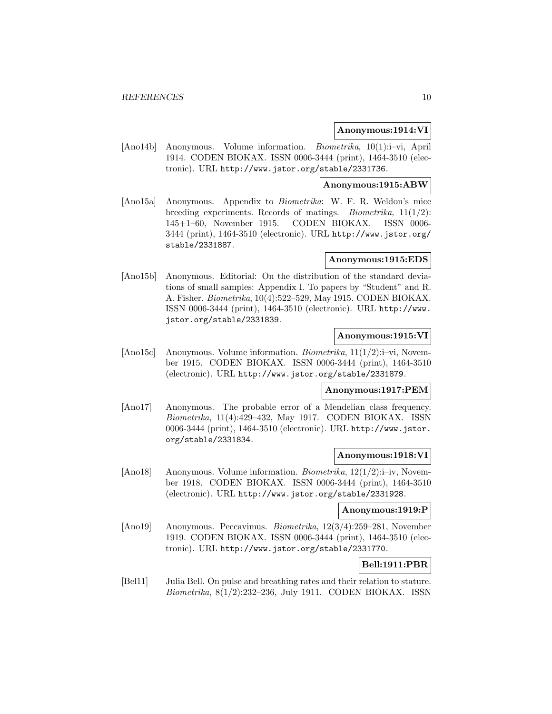### **Anonymous:1914:VI**

[Ano14b] Anonymous. Volume information. Biometrika, 10(1):i–vi, April 1914. CODEN BIOKAX. ISSN 0006-3444 (print), 1464-3510 (electronic). URL http://www.jstor.org/stable/2331736.

### **Anonymous:1915:ABW**

[Ano15a] Anonymous. Appendix to Biometrika: W. F. R. Weldon's mice breeding experiments. Records of matings. *Biometrika*,  $11(1/2)$ : 145+1–60, November 1915. CODEN BIOKAX. ISSN 0006- 3444 (print), 1464-3510 (electronic). URL http://www.jstor.org/ stable/2331887.

### **Anonymous:1915:EDS**

[Ano15b] Anonymous. Editorial: On the distribution of the standard deviations of small samples: Appendix I. To papers by "Student" and R. A. Fisher. Biometrika, 10(4):522–529, May 1915. CODEN BIOKAX. ISSN 0006-3444 (print), 1464-3510 (electronic). URL http://www. jstor.org/stable/2331839.

### **Anonymous:1915:VI**

[Ano15c] Anonymous. Volume information. Biometrika, 11(1/2):i–vi, November 1915. CODEN BIOKAX. ISSN 0006-3444 (print), 1464-3510 (electronic). URL http://www.jstor.org/stable/2331879.

### **Anonymous:1917:PEM**

[Ano17] Anonymous. The probable error of a Mendelian class frequency. Biometrika, 11(4):429–432, May 1917. CODEN BIOKAX. ISSN 0006-3444 (print), 1464-3510 (electronic). URL http://www.jstor. org/stable/2331834.

#### **Anonymous:1918:VI**

[Ano18] Anonymous. Volume information. Biometrika,  $12(1/2)$ :i–iv, November 1918. CODEN BIOKAX. ISSN 0006-3444 (print), 1464-3510 (electronic). URL http://www.jstor.org/stable/2331928.

### **Anonymous:1919:P**

[Ano19] Anonymous. Peccavimus. Biometrika, 12(3/4):259–281, November 1919. CODEN BIOKAX. ISSN 0006-3444 (print), 1464-3510 (electronic). URL http://www.jstor.org/stable/2331770.

# **Bell:1911:PBR**

[Bel11] Julia Bell. On pulse and breathing rates and their relation to stature. Biometrika, 8(1/2):232–236, July 1911. CODEN BIOKAX. ISSN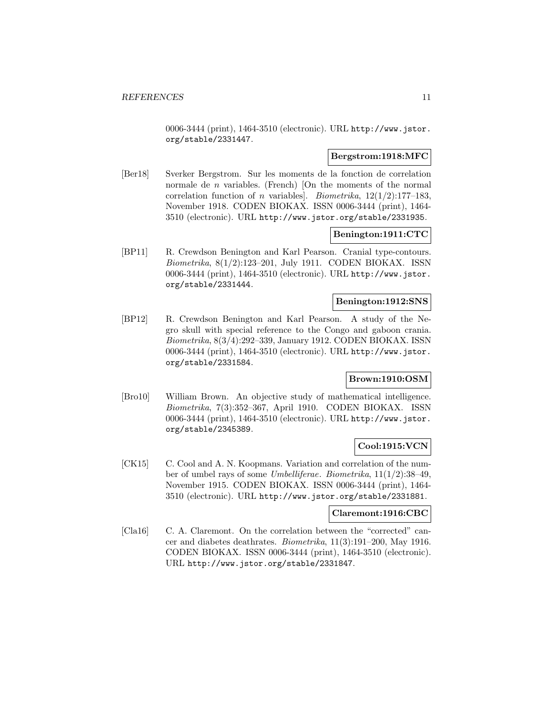0006-3444 (print), 1464-3510 (electronic). URL http://www.jstor. org/stable/2331447.

# **Bergstrom:1918:MFC**

[Ber18] Sverker Bergstrom. Sur les moments de la fonction de correlation normale de *n* variables. (French) [On the moments of the normal correlation function of *n* variables]. *Biometrika*,  $12(1/2):177-183$ , November 1918. CODEN BIOKAX. ISSN 0006-3444 (print), 1464- 3510 (electronic). URL http://www.jstor.org/stable/2331935.

### **Benington:1911:CTC**

[BP11] R. Crewdson Benington and Karl Pearson. Cranial type-contours. Biometrika, 8(1/2):123–201, July 1911. CODEN BIOKAX. ISSN 0006-3444 (print), 1464-3510 (electronic). URL http://www.jstor. org/stable/2331444.

### **Benington:1912:SNS**

[BP12] R. Crewdson Benington and Karl Pearson. A study of the Negro skull with special reference to the Congo and gaboon crania. Biometrika, 8(3/4):292–339, January 1912. CODEN BIOKAX. ISSN 0006-3444 (print), 1464-3510 (electronic). URL http://www.jstor. org/stable/2331584.

# **Brown:1910:OSM**

[Bro10] William Brown. An objective study of mathematical intelligence. Biometrika, 7(3):352–367, April 1910. CODEN BIOKAX. ISSN 0006-3444 (print), 1464-3510 (electronic). URL http://www.jstor. org/stable/2345389.

# **Cool:1915:VCN**

[CK15] C. Cool and A. N. Koopmans. Variation and correlation of the number of umbel rays of some Umbelliferae. Biometrika, 11(1/2):38–49, November 1915. CODEN BIOKAX. ISSN 0006-3444 (print), 1464- 3510 (electronic). URL http://www.jstor.org/stable/2331881.

#### **Claremont:1916:CBC**

[Cla16] C. A. Claremont. On the correlation between the "corrected" cancer and diabetes deathrates. Biometrika, 11(3):191–200, May 1916. CODEN BIOKAX. ISSN 0006-3444 (print), 1464-3510 (electronic). URL http://www.jstor.org/stable/2331847.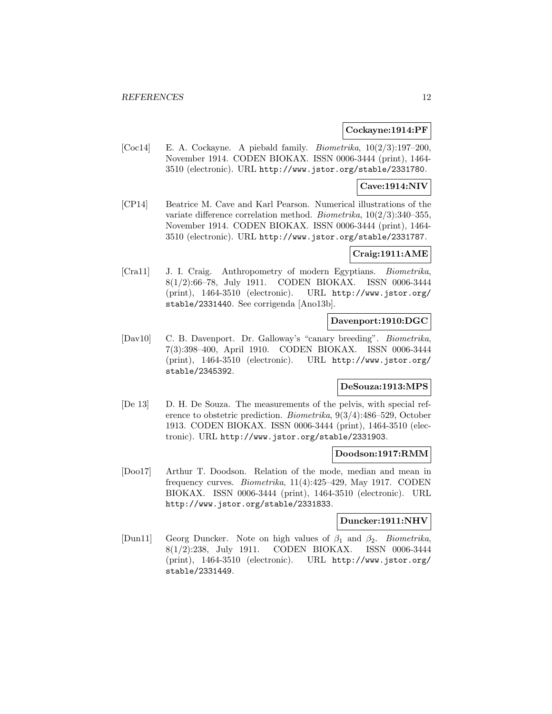### **Cockayne:1914:PF**

[Coc14] E. A. Cockayne. A piebald family. *Biometrika*,  $10(2/3):197-200$ , November 1914. CODEN BIOKAX. ISSN 0006-3444 (print), 1464- 3510 (electronic). URL http://www.jstor.org/stable/2331780.

### **Cave:1914:NIV**

[CP14] Beatrice M. Cave and Karl Pearson. Numerical illustrations of the variate difference correlation method. Biometrika, 10(2/3):340–355, November 1914. CODEN BIOKAX. ISSN 0006-3444 (print), 1464- 3510 (electronic). URL http://www.jstor.org/stable/2331787.

### **Craig:1911:AME**

[Cra11] J. I. Craig. Anthropometry of modern Egyptians. Biometrika, 8(1/2):66–78, July 1911. CODEN BIOKAX. ISSN 0006-3444 (print), 1464-3510 (electronic). URL http://www.jstor.org/ stable/2331440. See corrigenda [Ano13b].

### **Davenport:1910:DGC**

[Dav10] C. B. Davenport. Dr. Galloway's "canary breeding". Biometrika, 7(3):398–400, April 1910. CODEN BIOKAX. ISSN 0006-3444 (print), 1464-3510 (electronic). URL http://www.jstor.org/ stable/2345392.

# **DeSouza:1913:MPS**

[De 13] D. H. De Souza. The measurements of the pelvis, with special reference to obstetric prediction. Biometrika, 9(3/4):486–529, October 1913. CODEN BIOKAX. ISSN 0006-3444 (print), 1464-3510 (electronic). URL http://www.jstor.org/stable/2331903.

### **Doodson:1917:RMM**

[Doo17] Arthur T. Doodson. Relation of the mode, median and mean in frequency curves. Biometrika, 11(4):425–429, May 1917. CODEN BIOKAX. ISSN 0006-3444 (print), 1464-3510 (electronic). URL http://www.jstor.org/stable/2331833.

### **Duncker:1911:NHV**

[Dun11] Georg Duncker. Note on high values of  $\beta_1$  and  $\beta_2$ . Biometrika, 8(1/2):238, July 1911. CODEN BIOKAX. ISSN 0006-3444 (print), 1464-3510 (electronic). URL http://www.jstor.org/ stable/2331449.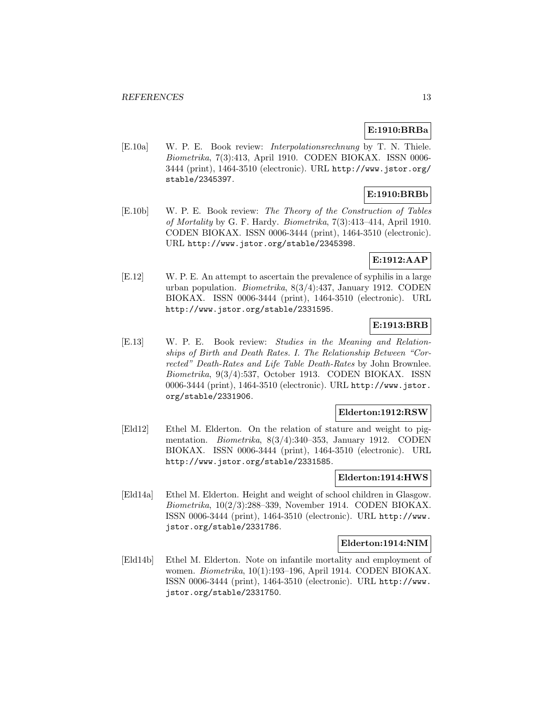# **E:1910:BRBa**

[E.10a] W. P. E. Book review: Interpolationsrechnung by T. N. Thiele. Biometrika, 7(3):413, April 1910. CODEN BIOKAX. ISSN 0006- 3444 (print), 1464-3510 (electronic). URL http://www.jstor.org/ stable/2345397.

# **E:1910:BRBb**

[E.10b] W. P. E. Book review: The Theory of the Construction of Tables of Mortality by G. F. Hardy. Biometrika, 7(3):413–414, April 1910. CODEN BIOKAX. ISSN 0006-3444 (print), 1464-3510 (electronic). URL http://www.jstor.org/stable/2345398.

# **E:1912:AAP**

[E.12] W. P. E. An attempt to ascertain the prevalence of syphilis in a large urban population. Biometrika, 8(3/4):437, January 1912. CODEN BIOKAX. ISSN 0006-3444 (print), 1464-3510 (electronic). URL http://www.jstor.org/stable/2331595.

# **E:1913:BRB**

[E.13] W. P. E. Book review: Studies in the Meaning and Relationships of Birth and Death Rates. I. The Relationship Between "Corrected" Death-Rates and Life Table Death-Rates by John Brownlee. Biometrika, 9(3/4):537, October 1913. CODEN BIOKAX. ISSN 0006-3444 (print), 1464-3510 (electronic). URL http://www.jstor. org/stable/2331906.

### **Elderton:1912:RSW**

[Eld12] Ethel M. Elderton. On the relation of stature and weight to pigmentation. Biometrika, 8(3/4):340–353, January 1912. CODEN BIOKAX. ISSN 0006-3444 (print), 1464-3510 (electronic). URL http://www.jstor.org/stable/2331585.

#### **Elderton:1914:HWS**

[Eld14a] Ethel M. Elderton. Height and weight of school children in Glasgow. Biometrika, 10(2/3):288–339, November 1914. CODEN BIOKAX. ISSN 0006-3444 (print), 1464-3510 (electronic). URL http://www. jstor.org/stable/2331786.

#### **Elderton:1914:NIM**

[Eld14b] Ethel M. Elderton. Note on infantile mortality and employment of women. Biometrika, 10(1):193–196, April 1914. CODEN BIOKAX. ISSN 0006-3444 (print), 1464-3510 (electronic). URL http://www. jstor.org/stable/2331750.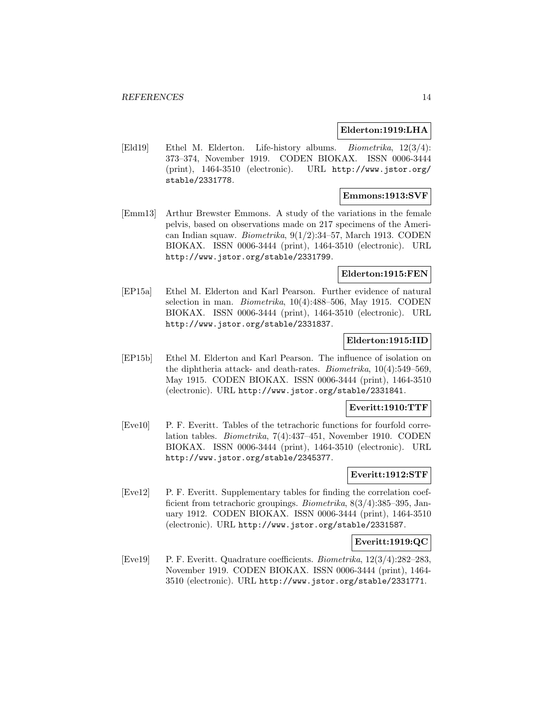### **Elderton:1919:LHA**

[Eld19] Ethel M. Elderton. Life-history albums. Biometrika, 12(3/4): 373–374, November 1919. CODEN BIOKAX. ISSN 0006-3444 (print), 1464-3510 (electronic). URL http://www.jstor.org/ stable/2331778.

### **Emmons:1913:SVF**

[Emm13] Arthur Brewster Emmons. A study of the variations in the female pelvis, based on observations made on 217 specimens of the American Indian squaw. Biometrika, 9(1/2):34–57, March 1913. CODEN BIOKAX. ISSN 0006-3444 (print), 1464-3510 (electronic). URL http://www.jstor.org/stable/2331799.

### **Elderton:1915:FEN**

[EP15a] Ethel M. Elderton and Karl Pearson. Further evidence of natural selection in man. *Biometrika*,  $10(4):488-506$ , May 1915. CODEN BIOKAX. ISSN 0006-3444 (print), 1464-3510 (electronic). URL http://www.jstor.org/stable/2331837.

### **Elderton:1915:IID**

[EP15b] Ethel M. Elderton and Karl Pearson. The influence of isolation on the diphtheria attack- and death-rates. Biometrika, 10(4):549–569, May 1915. CODEN BIOKAX. ISSN 0006-3444 (print), 1464-3510 (electronic). URL http://www.jstor.org/stable/2331841.

#### **Everitt:1910:TTF**

[Eve10] P. F. Everitt. Tables of the tetrachoric functions for fourfold correlation tables. Biometrika, 7(4):437–451, November 1910. CODEN BIOKAX. ISSN 0006-3444 (print), 1464-3510 (electronic). URL http://www.jstor.org/stable/2345377.

# **Everitt:1912:STF**

[Eve12] P. F. Everitt. Supplementary tables for finding the correlation coefficient from tetrachoric groupings. Biometrika, 8(3/4):385–395, January 1912. CODEN BIOKAX. ISSN 0006-3444 (print), 1464-3510 (electronic). URL http://www.jstor.org/stable/2331587.

### **Everitt:1919:QC**

[Eve19] P. F. Everitt. Quadrature coefficients. Biometrika, 12(3/4):282–283, November 1919. CODEN BIOKAX. ISSN 0006-3444 (print), 1464- 3510 (electronic). URL http://www.jstor.org/stable/2331771.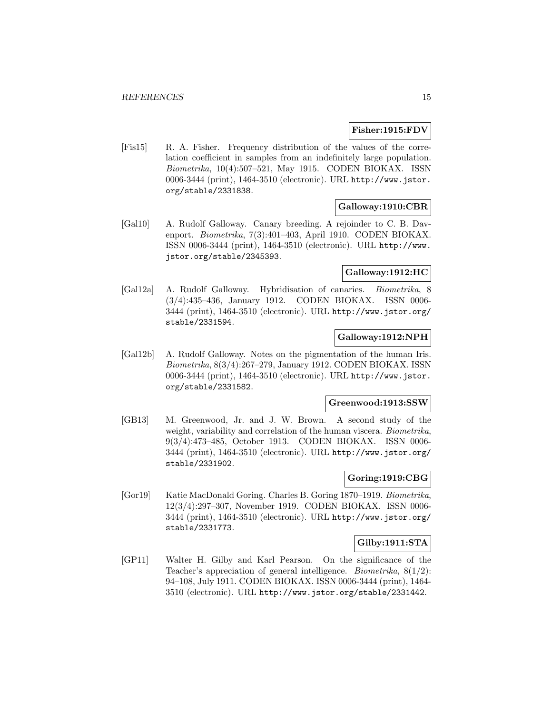### **Fisher:1915:FDV**

[Fis15] R. A. Fisher. Frequency distribution of the values of the correlation coefficient in samples from an indefinitely large population. Biometrika, 10(4):507–521, May 1915. CODEN BIOKAX. ISSN 0006-3444 (print), 1464-3510 (electronic). URL http://www.jstor. org/stable/2331838.

### **Galloway:1910:CBR**

[Gal10] A. Rudolf Galloway. Canary breeding. A rejoinder to C. B. Davenport. Biometrika, 7(3):401–403, April 1910. CODEN BIOKAX. ISSN 0006-3444 (print), 1464-3510 (electronic). URL http://www. jstor.org/stable/2345393.

## **Galloway:1912:HC**

[Gal12a] A. Rudolf Galloway. Hybridisation of canaries. Biometrika, 8 (3/4):435–436, January 1912. CODEN BIOKAX. ISSN 0006- 3444 (print), 1464-3510 (electronic). URL http://www.jstor.org/ stable/2331594.

### **Galloway:1912:NPH**

[Gal12b] A. Rudolf Galloway. Notes on the pigmentation of the human Iris. Biometrika, 8(3/4):267–279, January 1912. CODEN BIOKAX. ISSN 0006-3444 (print), 1464-3510 (electronic). URL http://www.jstor. org/stable/2331582.

# **Greenwood:1913:SSW**

[GB13] M. Greenwood, Jr. and J. W. Brown. A second study of the weight, variability and correlation of the human viscera. Biometrika, 9(3/4):473–485, October 1913. CODEN BIOKAX. ISSN 0006- 3444 (print), 1464-3510 (electronic). URL http://www.jstor.org/ stable/2331902.

### **Goring:1919:CBG**

[Gor19] Katie MacDonald Goring. Charles B. Goring 1870–1919. Biometrika, 12(3/4):297–307, November 1919. CODEN BIOKAX. ISSN 0006- 3444 (print), 1464-3510 (electronic). URL http://www.jstor.org/ stable/2331773.

### **Gilby:1911:STA**

[GP11] Walter H. Gilby and Karl Pearson. On the significance of the Teacher's appreciation of general intelligence. *Biometrika*,  $8(1/2)$ : 94–108, July 1911. CODEN BIOKAX. ISSN 0006-3444 (print), 1464- 3510 (electronic). URL http://www.jstor.org/stable/2331442.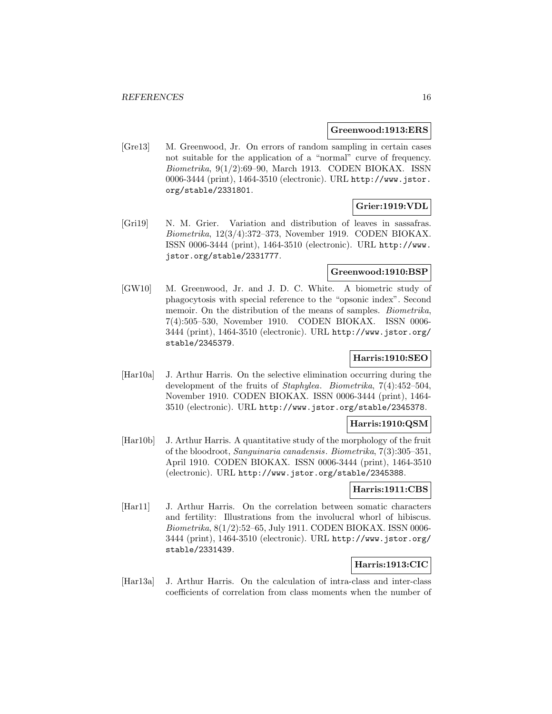### **Greenwood:1913:ERS**

[Gre13] M. Greenwood, Jr. On errors of random sampling in certain cases not suitable for the application of a "normal" curve of frequency. Biometrika, 9(1/2):69–90, March 1913. CODEN BIOKAX. ISSN 0006-3444 (print), 1464-3510 (electronic). URL http://www.jstor. org/stable/2331801.

# **Grier:1919:VDL**

[Gri19] N. M. Grier. Variation and distribution of leaves in sassafras. Biometrika, 12(3/4):372–373, November 1919. CODEN BIOKAX. ISSN 0006-3444 (print), 1464-3510 (electronic). URL http://www. jstor.org/stable/2331777.

### **Greenwood:1910:BSP**

[GW10] M. Greenwood, Jr. and J. D. C. White. A biometric study of phagocytosis with special reference to the "opsonic index". Second memoir. On the distribution of the means of samples. Biometrika, 7(4):505–530, November 1910. CODEN BIOKAX. ISSN 0006- 3444 (print), 1464-3510 (electronic). URL http://www.jstor.org/ stable/2345379.

# **Harris:1910:SEO**

[Har10a] J. Arthur Harris. On the selective elimination occurring during the development of the fruits of Staphylea. Biometrika, 7(4):452–504, November 1910. CODEN BIOKAX. ISSN 0006-3444 (print), 1464- 3510 (electronic). URL http://www.jstor.org/stable/2345378.

### **Harris:1910:QSM**

[Har10b] J. Arthur Harris. A quantitative study of the morphology of the fruit of the bloodroot, Sanguinaria canadensis. Biometrika, 7(3):305–351, April 1910. CODEN BIOKAX. ISSN 0006-3444 (print), 1464-3510 (electronic). URL http://www.jstor.org/stable/2345388.

# **Harris:1911:CBS**

[Har11] J. Arthur Harris. On the correlation between somatic characters and fertility: Illustrations from the involucral whorl of hibiscus. Biometrika, 8(1/2):52–65, July 1911. CODEN BIOKAX. ISSN 0006- 3444 (print), 1464-3510 (electronic). URL http://www.jstor.org/ stable/2331439.

# **Harris:1913:CIC**

[Har13a] J. Arthur Harris. On the calculation of intra-class and inter-class coefficients of correlation from class moments when the number of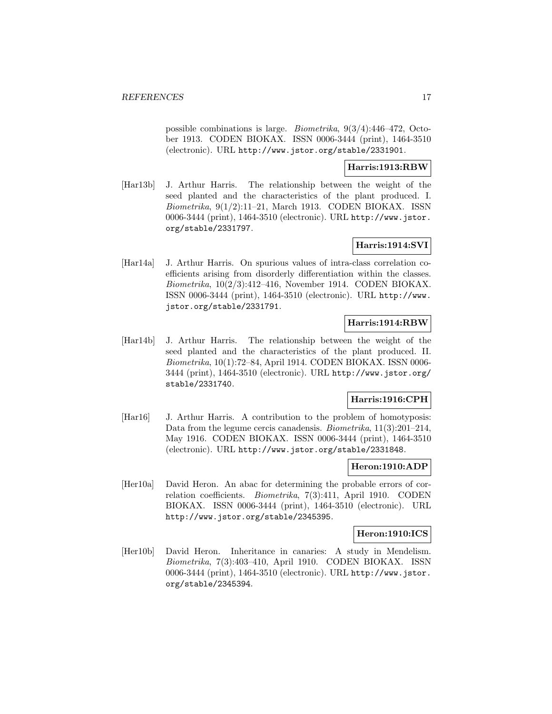possible combinations is large. Biometrika, 9(3/4):446–472, October 1913. CODEN BIOKAX. ISSN 0006-3444 (print), 1464-3510 (electronic). URL http://www.jstor.org/stable/2331901.

### **Harris:1913:RBW**

[Har13b] J. Arthur Harris. The relationship between the weight of the seed planted and the characteristics of the plant produced. I. Biometrika, 9(1/2):11–21, March 1913. CODEN BIOKAX. ISSN 0006-3444 (print), 1464-3510 (electronic). URL http://www.jstor. org/stable/2331797.

# **Harris:1914:SVI**

[Har14a] J. Arthur Harris. On spurious values of intra-class correlation coefficients arising from disorderly differentiation within the classes. Biometrika, 10(2/3):412–416, November 1914. CODEN BIOKAX. ISSN 0006-3444 (print), 1464-3510 (electronic). URL http://www. jstor.org/stable/2331791.

### **Harris:1914:RBW**

[Har14b] J. Arthur Harris. The relationship between the weight of the seed planted and the characteristics of the plant produced. II. Biometrika, 10(1):72–84, April 1914. CODEN BIOKAX. ISSN 0006- 3444 (print), 1464-3510 (electronic). URL http://www.jstor.org/ stable/2331740.

### **Harris:1916:CPH**

[Har16] J. Arthur Harris. A contribution to the problem of homotyposis: Data from the legume cercis canadensis. *Biometrika*, 11(3):201–214, May 1916. CODEN BIOKAX. ISSN 0006-3444 (print), 1464-3510 (electronic). URL http://www.jstor.org/stable/2331848.

### **Heron:1910:ADP**

[Her10a] David Heron. An abac for determining the probable errors of correlation coefficients. *Biometrika*, 7(3):411, April 1910. CODEN BIOKAX. ISSN 0006-3444 (print), 1464-3510 (electronic). URL http://www.jstor.org/stable/2345395.

### **Heron:1910:ICS**

[Her10b] David Heron. Inheritance in canaries: A study in Mendelism. Biometrika, 7(3):403–410, April 1910. CODEN BIOKAX. ISSN 0006-3444 (print), 1464-3510 (electronic). URL http://www.jstor. org/stable/2345394.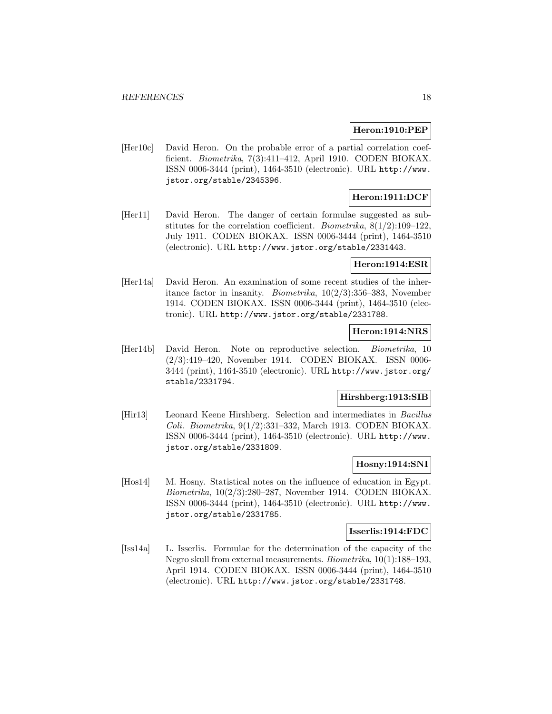### **Heron:1910:PEP**

[Her10c] David Heron. On the probable error of a partial correlation coefficient. Biometrika, 7(3):411–412, April 1910. CODEN BIOKAX. ISSN 0006-3444 (print), 1464-3510 (electronic). URL http://www. jstor.org/stable/2345396.

# **Heron:1911:DCF**

[Her11] David Heron. The danger of certain formulae suggested as substitutes for the correlation coefficient. *Biometrika*,  $8(1/2):109-122$ , July 1911. CODEN BIOKAX. ISSN 0006-3444 (print), 1464-3510 (electronic). URL http://www.jstor.org/stable/2331443.

### **Heron:1914:ESR**

[Her14a] David Heron. An examination of some recent studies of the inheritance factor in insanity. *Biometrika*,  $10(2/3)$ :356–383, November 1914. CODEN BIOKAX. ISSN 0006-3444 (print), 1464-3510 (electronic). URL http://www.jstor.org/stable/2331788.

### **Heron:1914:NRS**

[Her14b] David Heron. Note on reproductive selection. Biometrika, 10 (2/3):419–420, November 1914. CODEN BIOKAX. ISSN 0006- 3444 (print), 1464-3510 (electronic). URL http://www.jstor.org/ stable/2331794.

# **Hirshberg:1913:SIB**

[Hir13] Leonard Keene Hirshberg. Selection and intermediates in Bacillus Coli. Biometrika, 9(1/2):331–332, March 1913. CODEN BIOKAX. ISSN 0006-3444 (print), 1464-3510 (electronic). URL http://www. jstor.org/stable/2331809.

# **Hosny:1914:SNI**

[Hos14] M. Hosny. Statistical notes on the influence of education in Egypt. Biometrika, 10(2/3):280–287, November 1914. CODEN BIOKAX. ISSN 0006-3444 (print), 1464-3510 (electronic). URL http://www. jstor.org/stable/2331785.

#### **Isserlis:1914:FDC**

[Iss14a] L. Isserlis. Formulae for the determination of the capacity of the Negro skull from external measurements. Biometrika, 10(1):188–193, April 1914. CODEN BIOKAX. ISSN 0006-3444 (print), 1464-3510 (electronic). URL http://www.jstor.org/stable/2331748.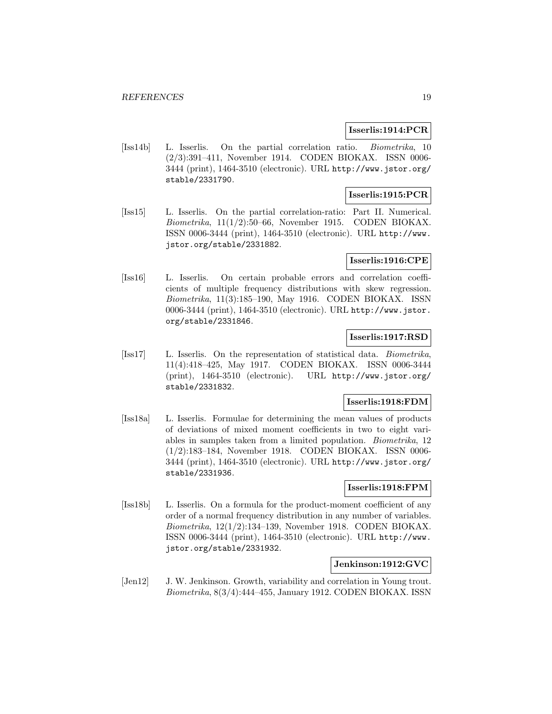### **Isserlis:1914:PCR**

[Iss14b] L. Isserlis. On the partial correlation ratio. Biometrika, 10 (2/3):391–411, November 1914. CODEN BIOKAX. ISSN 0006- 3444 (print), 1464-3510 (electronic). URL http://www.jstor.org/ stable/2331790.

# **Isserlis:1915:PCR**

[Iss15] L. Isserlis. On the partial correlation-ratio: Part II. Numerical. Biometrika,  $11(1/2)$ :50–66, November 1915. CODEN BIOKAX. ISSN 0006-3444 (print), 1464-3510 (electronic). URL http://www. jstor.org/stable/2331882.

### **Isserlis:1916:CPE**

[Iss16] L. Isserlis. On certain probable errors and correlation coefficients of multiple frequency distributions with skew regression. Biometrika, 11(3):185–190, May 1916. CODEN BIOKAX. ISSN 0006-3444 (print), 1464-3510 (electronic). URL http://www.jstor. org/stable/2331846.

### **Isserlis:1917:RSD**

[Iss17] L. Isserlis. On the representation of statistical data. Biometrika, 11(4):418–425, May 1917. CODEN BIOKAX. ISSN 0006-3444 (print), 1464-3510 (electronic). URL http://www.jstor.org/ stable/2331832.

# **Isserlis:1918:FDM**

[Iss18a] L. Isserlis. Formulae for determining the mean values of products of deviations of mixed moment coefficients in two to eight variables in samples taken from a limited population. Biometrika, 12 (1/2):183–184, November 1918. CODEN BIOKAX. ISSN 0006- 3444 (print), 1464-3510 (electronic). URL http://www.jstor.org/ stable/2331936.

### **Isserlis:1918:FPM**

[Iss18b] L. Isserlis. On a formula for the product-moment coefficient of any order of a normal frequency distribution in any number of variables. Biometrika, 12(1/2):134–139, November 1918. CODEN BIOKAX. ISSN 0006-3444 (print), 1464-3510 (electronic). URL http://www. jstor.org/stable/2331932.

# **Jenkinson:1912:GVC**

[Jen12] J. W. Jenkinson. Growth, variability and correlation in Young trout. Biometrika, 8(3/4):444–455, January 1912. CODEN BIOKAX. ISSN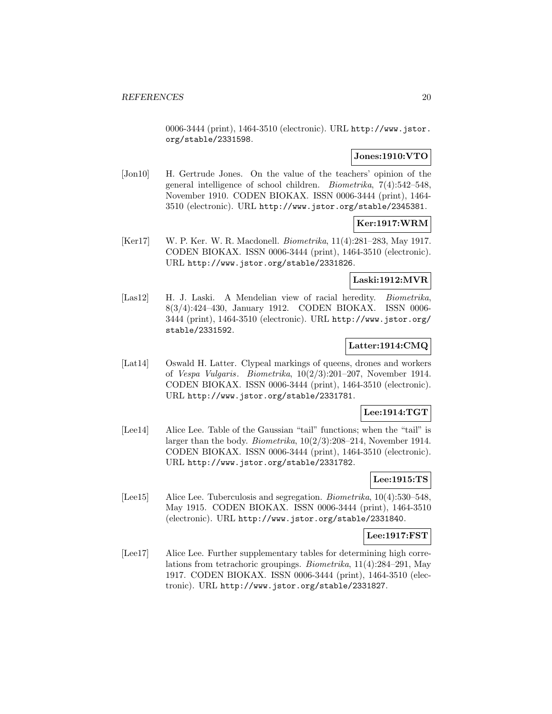0006-3444 (print), 1464-3510 (electronic). URL http://www.jstor. org/stable/2331598.

# **Jones:1910:VTO**

[Jon10] H. Gertrude Jones. On the value of the teachers' opinion of the general intelligence of school children. Biometrika, 7(4):542–548, November 1910. CODEN BIOKAX. ISSN 0006-3444 (print), 1464- 3510 (electronic). URL http://www.jstor.org/stable/2345381.

# **Ker:1917:WRM**

[Ker17] W. P. Ker. W. R. Macdonell. Biometrika, 11(4):281–283, May 1917. CODEN BIOKAX. ISSN 0006-3444 (print), 1464-3510 (electronic). URL http://www.jstor.org/stable/2331826.

### **Laski:1912:MVR**

[Las12] H. J. Laski. A Mendelian view of racial heredity. *Biometrika*, 8(3/4):424–430, January 1912. CODEN BIOKAX. ISSN 0006- 3444 (print), 1464-3510 (electronic). URL http://www.jstor.org/ stable/2331592.

# **Latter:1914:CMQ**

[Lat14] Oswald H. Latter. Clypeal markings of queens, drones and workers of Vespa Vulgaris. Biometrika, 10(2/3):201–207, November 1914. CODEN BIOKAX. ISSN 0006-3444 (print), 1464-3510 (electronic). URL http://www.jstor.org/stable/2331781.

# **Lee:1914:TGT**

[Lee14] Alice Lee. Table of the Gaussian "tail" functions; when the "tail" is larger than the body. *Biometrika*,  $10(2/3):208-214$ , November 1914. CODEN BIOKAX. ISSN 0006-3444 (print), 1464-3510 (electronic). URL http://www.jstor.org/stable/2331782.

### **Lee:1915:TS**

[Lee15] Alice Lee. Tuberculosis and segregation. Biometrika, 10(4):530–548, May 1915. CODEN BIOKAX. ISSN 0006-3444 (print), 1464-3510 (electronic). URL http://www.jstor.org/stable/2331840.

# **Lee:1917:FST**

[Lee17] Alice Lee. Further supplementary tables for determining high correlations from tetrachoric groupings. Biometrika, 11(4):284–291, May 1917. CODEN BIOKAX. ISSN 0006-3444 (print), 1464-3510 (electronic). URL http://www.jstor.org/stable/2331827.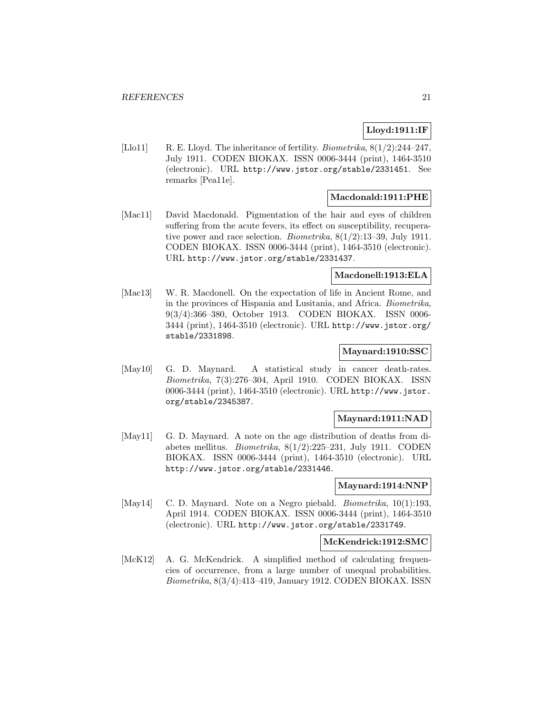# **Lloyd:1911:IF**

[Llo11] R. E. Lloyd. The inheritance of fertility. *Biometrika*,  $8(1/2):244-247$ , July 1911. CODEN BIOKAX. ISSN 0006-3444 (print), 1464-3510 (electronic). URL http://www.jstor.org/stable/2331451. See remarks [Pea11e].

# **Macdonald:1911:PHE**

[Mac11] David Macdonald. Pigmentation of the hair and eyes of children suffering from the acute fevers, its effect on susceptibility, recuperative power and race selection. Biometrika, 8(1/2):13–39, July 1911. CODEN BIOKAX. ISSN 0006-3444 (print), 1464-3510 (electronic). URL http://www.jstor.org/stable/2331437.

### **Macdonell:1913:ELA**

[Mac13] W. R. Macdonell. On the expectation of life in Ancient Rome, and in the provinces of Hispania and Lusitania, and Africa. Biometrika, 9(3/4):366–380, October 1913. CODEN BIOKAX. ISSN 0006- 3444 (print), 1464-3510 (electronic). URL http://www.jstor.org/ stable/2331898.

### **Maynard:1910:SSC**

[May10] G. D. Maynard. A statistical study in cancer death-rates. Biometrika, 7(3):276–304, April 1910. CODEN BIOKAX. ISSN 0006-3444 (print), 1464-3510 (electronic). URL http://www.jstor. org/stable/2345387.

#### **Maynard:1911:NAD**

[May11] G. D. Maynard. A note on the age distribution of deaths from diabetes mellitus. Biometrika, 8(1/2):225–231, July 1911. CODEN BIOKAX. ISSN 0006-3444 (print), 1464-3510 (electronic). URL http://www.jstor.org/stable/2331446.

#### **Maynard:1914:NNP**

[May14] C. D. Maynard. Note on a Negro piebald. *Biometrika*, 10(1):193, April 1914. CODEN BIOKAX. ISSN 0006-3444 (print), 1464-3510 (electronic). URL http://www.jstor.org/stable/2331749.

### **McKendrick:1912:SMC**

[McK12] A. G. McKendrick. A simplified method of calculating frequencies of occurrence, from a large number of unequal probabilities. Biometrika, 8(3/4):413–419, January 1912. CODEN BIOKAX. ISSN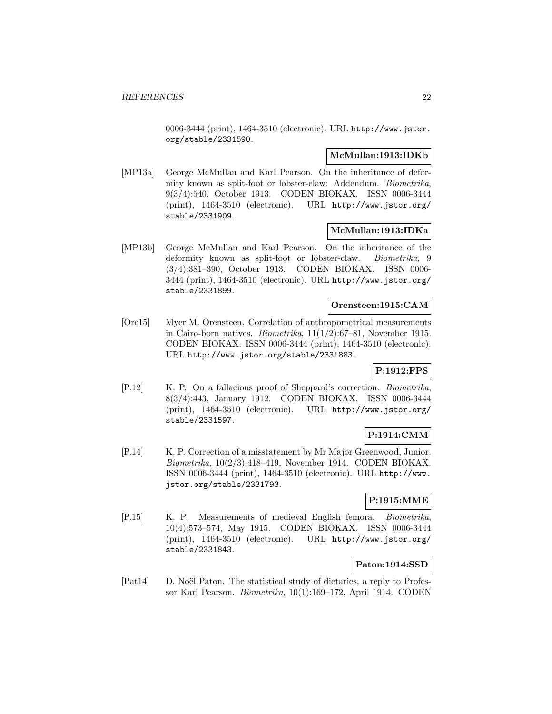0006-3444 (print), 1464-3510 (electronic). URL http://www.jstor. org/stable/2331590.

### **McMullan:1913:IDKb**

[MP13a] George McMullan and Karl Pearson. On the inheritance of deformity known as split-foot or lobster-claw: Addendum. Biometrika, 9(3/4):540, October 1913. CODEN BIOKAX. ISSN 0006-3444 (print), 1464-3510 (electronic). URL http://www.jstor.org/ stable/2331909.

### **McMullan:1913:IDKa**

[MP13b] George McMullan and Karl Pearson. On the inheritance of the deformity known as split-foot or lobster-claw. Biometrika, 9 (3/4):381–390, October 1913. CODEN BIOKAX. ISSN 0006- 3444 (print), 1464-3510 (electronic). URL http://www.jstor.org/ stable/2331899.

### **Orensteen:1915:CAM**

[Ore15] Myer M. Orensteen. Correlation of anthropometrical measurements in Cairo-born natives. *Biometrika*,  $11(1/2):67-81$ , November 1915. CODEN BIOKAX. ISSN 0006-3444 (print), 1464-3510 (electronic). URL http://www.jstor.org/stable/2331883.

# **P:1912:FPS**

[P.12] K. P. On a fallacious proof of Sheppard's correction. Biometrika, 8(3/4):443, January 1912. CODEN BIOKAX. ISSN 0006-3444 (print), 1464-3510 (electronic). URL http://www.jstor.org/ stable/2331597.

### **P:1914:CMM**

[P.14] K. P. Correction of a misstatement by Mr Major Greenwood, Junior. Biometrika, 10(2/3):418–419, November 1914. CODEN BIOKAX. ISSN 0006-3444 (print), 1464-3510 (electronic). URL http://www. jstor.org/stable/2331793.

# **P:1915:MME**

[P.15] K. P. Measurements of medieval English femora. Biometrika, 10(4):573–574, May 1915. CODEN BIOKAX. ISSN 0006-3444 (print), 1464-3510 (electronic). URL http://www.jstor.org/ stable/2331843.

# **Paton:1914:SSD**

[Pat14] D. Noël Paton. The statistical study of dietaries, a reply to Professor Karl Pearson. Biometrika, 10(1):169–172, April 1914. CODEN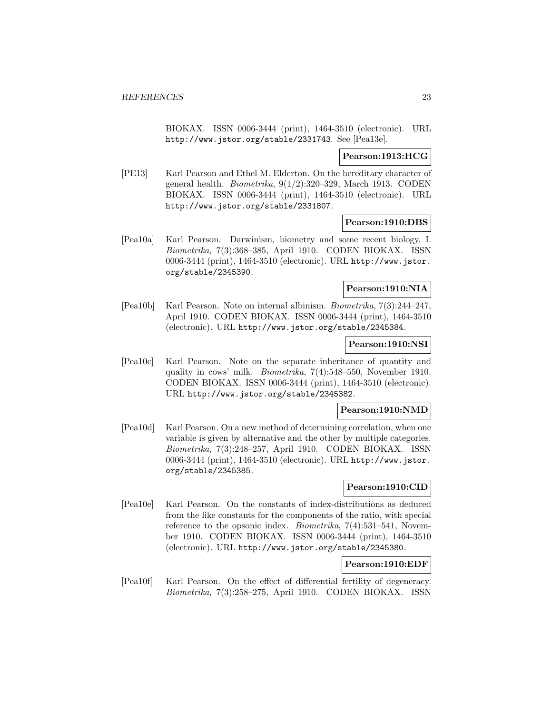BIOKAX. ISSN 0006-3444 (print), 1464-3510 (electronic). URL http://www.jstor.org/stable/2331743. See [Pea13e].

### **Pearson:1913:HCG**

[PE13] Karl Pearson and Ethel M. Elderton. On the hereditary character of general health. *Biometrika*,  $9(1/2):320-329$ , March 1913. CODEN BIOKAX. ISSN 0006-3444 (print), 1464-3510 (electronic). URL http://www.jstor.org/stable/2331807.

### **Pearson:1910:DBS**

[Pea10a] Karl Pearson. Darwinism, biometry and some recent biology. I. Biometrika, 7(3):368–385, April 1910. CODEN BIOKAX. ISSN 0006-3444 (print), 1464-3510 (electronic). URL http://www.jstor. org/stable/2345390.

### **Pearson:1910:NIA**

[Pea10b] Karl Pearson. Note on internal albinism. Biometrika, 7(3):244–247, April 1910. CODEN BIOKAX. ISSN 0006-3444 (print), 1464-3510 (electronic). URL http://www.jstor.org/stable/2345384.

#### **Pearson:1910:NSI**

[Pea10c] Karl Pearson. Note on the separate inheritance of quantity and quality in cows' milk. Biometrika, 7(4):548–550, November 1910. CODEN BIOKAX. ISSN 0006-3444 (print), 1464-3510 (electronic). URL http://www.jstor.org/stable/2345382.

#### **Pearson:1910:NMD**

[Pea10d] Karl Pearson. On a new method of determining correlation, when one variable is given by alternative and the other by multiple categories. Biometrika, 7(3):248–257, April 1910. CODEN BIOKAX. ISSN 0006-3444 (print), 1464-3510 (electronic). URL http://www.jstor. org/stable/2345385.

#### **Pearson:1910:CID**

[Pea10e] Karl Pearson. On the constants of index-distributions as deduced from the like constants for the components of the ratio, with special reference to the opsonic index. *Biometrika*, 7(4):531–541, November 1910. CODEN BIOKAX. ISSN 0006-3444 (print), 1464-3510 (electronic). URL http://www.jstor.org/stable/2345380.

# **Pearson:1910:EDF**

[Pea10f] Karl Pearson. On the effect of differential fertility of degeneracy. Biometrika, 7(3):258–275, April 1910. CODEN BIOKAX. ISSN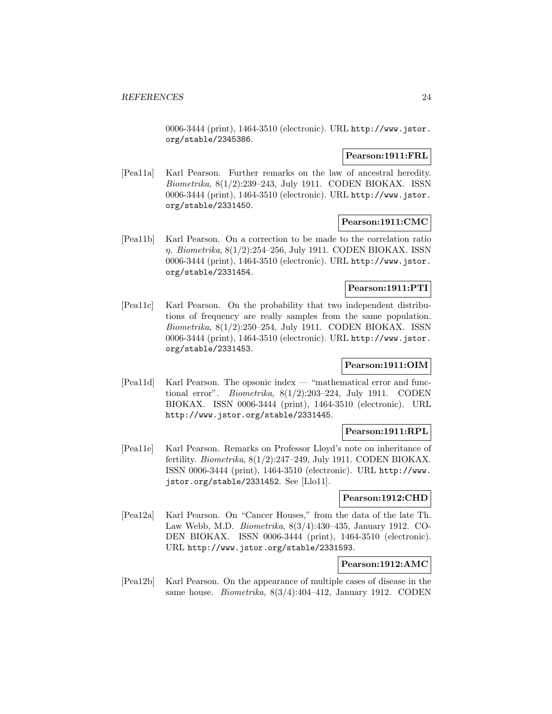0006-3444 (print), 1464-3510 (electronic). URL http://www.jstor. org/stable/2345386.

### **Pearson:1911:FRL**

[Pea11a] Karl Pearson. Further remarks on the law of ancestral heredity. Biometrika, 8(1/2):239–243, July 1911. CODEN BIOKAX. ISSN 0006-3444 (print), 1464-3510 (electronic). URL http://www.jstor. org/stable/2331450.

# **Pearson:1911:CMC**

[Pea11b] Karl Pearson. On a correction to be made to the correlation ratio η. Biometrika, 8(1/2):254–256, July 1911. CODEN BIOKAX. ISSN 0006-3444 (print), 1464-3510 (electronic). URL http://www.jstor. org/stable/2331454.

# **Pearson:1911:PTI**

[Pea11c] Karl Pearson. On the probability that two independent distributions of frequency are really samples from the same population. Biometrika, 8(1/2):250–254, July 1911. CODEN BIOKAX. ISSN 0006-3444 (print), 1464-3510 (electronic). URL http://www.jstor. org/stable/2331453.

# **Pearson:1911:OIM**

[Pea11d] Karl Pearson. The opsonic index — "mathematical error and functional error". Biometrika, 8(1/2):203–224, July 1911. CODEN BIOKAX. ISSN 0006-3444 (print), 1464-3510 (electronic). URL http://www.jstor.org/stable/2331445.

### **Pearson:1911:RPL**

[Pea11e] Karl Pearson. Remarks on Professor Lloyd's note on inheritance of fertility. Biometrika, 8(1/2):247–249, July 1911. CODEN BIOKAX. ISSN 0006-3444 (print), 1464-3510 (electronic). URL http://www. jstor.org/stable/2331452. See [Llo11].

### **Pearson:1912:CHD**

[Pea12a] Karl Pearson. On "Cancer Houses," from the data of the late Th. Law Webb, M.D. Biometrika, 8(3/4):430–435, January 1912. CO-DEN BIOKAX. ISSN 0006-3444 (print), 1464-3510 (electronic). URL http://www.jstor.org/stable/2331593.

# **Pearson:1912:AMC**

[Pea12b] Karl Pearson. On the appearance of multiple cases of disease in the same house. *Biometrika*,  $8(3/4):404-412$ , January 1912. CODEN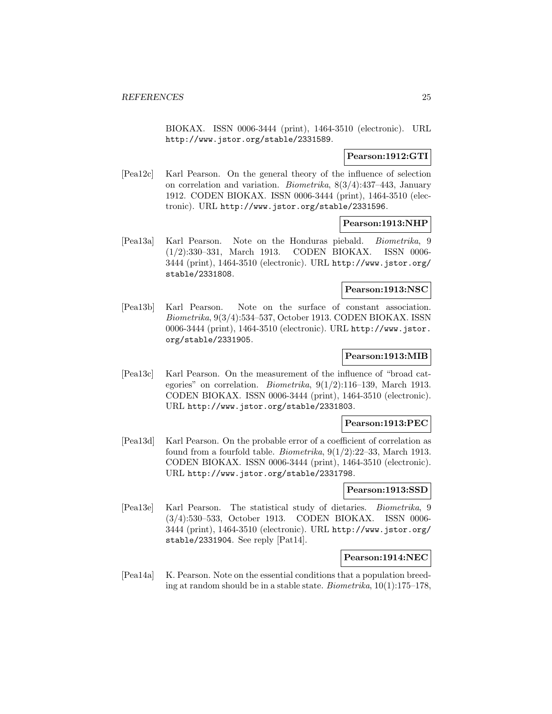BIOKAX. ISSN 0006-3444 (print), 1464-3510 (electronic). URL http://www.jstor.org/stable/2331589.

### **Pearson:1912:GTI**

[Pea12c] Karl Pearson. On the general theory of the influence of selection on correlation and variation. Biometrika, 8(3/4):437–443, January 1912. CODEN BIOKAX. ISSN 0006-3444 (print), 1464-3510 (electronic). URL http://www.jstor.org/stable/2331596.

### **Pearson:1913:NHP**

[Pea13a] Karl Pearson. Note on the Honduras piebald. Biometrika, 9 (1/2):330–331, March 1913. CODEN BIOKAX. ISSN 0006- 3444 (print), 1464-3510 (electronic). URL http://www.jstor.org/ stable/2331808.

### **Pearson:1913:NSC**

[Pea13b] Karl Pearson. Note on the surface of constant association. Biometrika, 9(3/4):534–537, October 1913. CODEN BIOKAX. ISSN 0006-3444 (print), 1464-3510 (electronic). URL http://www.jstor. org/stable/2331905.

### **Pearson:1913:MIB**

[Pea13c] Karl Pearson. On the measurement of the influence of "broad categories" on correlation. *Biometrika*,  $9(1/2)$ :116-139, March 1913. CODEN BIOKAX. ISSN 0006-3444 (print), 1464-3510 (electronic). URL http://www.jstor.org/stable/2331803.

### **Pearson:1913:PEC**

[Pea13d] Karl Pearson. On the probable error of a coefficient of correlation as found from a fourfold table. *Biometrika*,  $9(1/2):22-33$ , March 1913. CODEN BIOKAX. ISSN 0006-3444 (print), 1464-3510 (electronic). URL http://www.jstor.org/stable/2331798.

### **Pearson:1913:SSD**

[Pea13e] Karl Pearson. The statistical study of dietaries. Biometrika, 9 (3/4):530–533, October 1913. CODEN BIOKAX. ISSN 0006- 3444 (print), 1464-3510 (electronic). URL http://www.jstor.org/ stable/2331904. See reply [Pat14].

### **Pearson:1914:NEC**

[Pea14a] K. Pearson. Note on the essential conditions that a population breeding at random should be in a stable state. Biometrika, 10(1):175–178,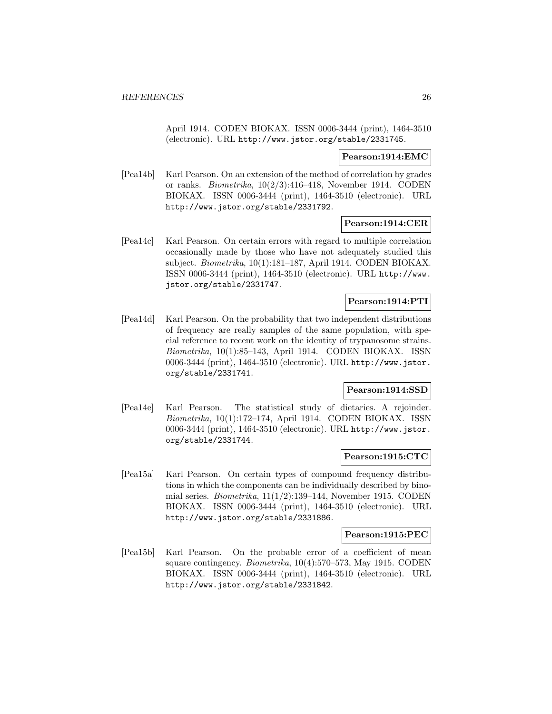April 1914. CODEN BIOKAX. ISSN 0006-3444 (print), 1464-3510 (electronic). URL http://www.jstor.org/stable/2331745.

### **Pearson:1914:EMC**

[Pea14b] Karl Pearson. On an extension of the method of correlation by grades or ranks. Biometrika, 10(2/3):416–418, November 1914. CODEN BIOKAX. ISSN 0006-3444 (print), 1464-3510 (electronic). URL http://www.jstor.org/stable/2331792.

### **Pearson:1914:CER**

[Pea14c] Karl Pearson. On certain errors with regard to multiple correlation occasionally made by those who have not adequately studied this subject. Biometrika, 10(1):181-187, April 1914. CODEN BIOKAX. ISSN 0006-3444 (print), 1464-3510 (electronic). URL http://www. jstor.org/stable/2331747.

# **Pearson:1914:PTI**

[Pea14d] Karl Pearson. On the probability that two independent distributions of frequency are really samples of the same population, with special reference to recent work on the identity of trypanosome strains. Biometrika, 10(1):85–143, April 1914. CODEN BIOKAX. ISSN 0006-3444 (print), 1464-3510 (electronic). URL http://www.jstor. org/stable/2331741.

# **Pearson:1914:SSD**

[Pea14e] Karl Pearson. The statistical study of dietaries. A rejoinder. Biometrika, 10(1):172–174, April 1914. CODEN BIOKAX. ISSN 0006-3444 (print), 1464-3510 (electronic). URL http://www.jstor. org/stable/2331744.

#### **Pearson:1915:CTC**

[Pea15a] Karl Pearson. On certain types of compound frequency distributions in which the components can be individually described by binomial series. *Biometrika*,  $11(1/2)$ :139–144, November 1915. CODEN BIOKAX. ISSN 0006-3444 (print), 1464-3510 (electronic). URL http://www.jstor.org/stable/2331886.

#### **Pearson:1915:PEC**

[Pea15b] Karl Pearson. On the probable error of a coefficient of mean square contingency. *Biometrika*, 10(4):570–573, May 1915. CODEN BIOKAX. ISSN 0006-3444 (print), 1464-3510 (electronic). URL http://www.jstor.org/stable/2331842.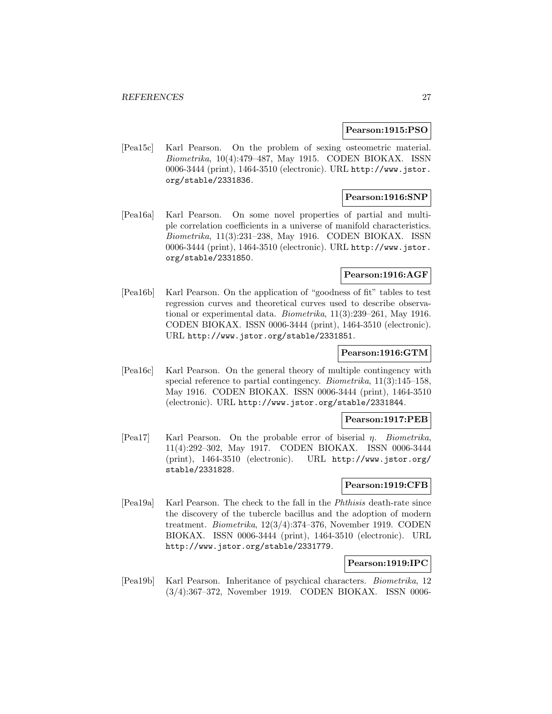### **Pearson:1915:PSO**

[Pea15c] Karl Pearson. On the problem of sexing osteometric material. Biometrika, 10(4):479–487, May 1915. CODEN BIOKAX. ISSN 0006-3444 (print), 1464-3510 (electronic). URL http://www.jstor. org/stable/2331836.

### **Pearson:1916:SNP**

[Pea16a] Karl Pearson. On some novel properties of partial and multiple correlation coefficients in a universe of manifold characteristics. Biometrika, 11(3):231–238, May 1916. CODEN BIOKAX. ISSN 0006-3444 (print), 1464-3510 (electronic). URL http://www.jstor. org/stable/2331850.

### **Pearson:1916:AGF**

[Pea16b] Karl Pearson. On the application of "goodness of fit" tables to test regression curves and theoretical curves used to describe observational or experimental data. Biometrika, 11(3):239–261, May 1916. CODEN BIOKAX. ISSN 0006-3444 (print), 1464-3510 (electronic). URL http://www.jstor.org/stable/2331851.

### **Pearson:1916:GTM**

[Pea16c] Karl Pearson. On the general theory of multiple contingency with special reference to partial contingency. *Biometrika*, 11(3):145–158, May 1916. CODEN BIOKAX. ISSN 0006-3444 (print), 1464-3510 (electronic). URL http://www.jstor.org/stable/2331844.

### **Pearson:1917:PEB**

[Pea17] Karl Pearson. On the probable error of biserial  $\eta$ . Biometrika, 11(4):292–302, May 1917. CODEN BIOKAX. ISSN 0006-3444 (print), 1464-3510 (electronic). URL http://www.jstor.org/ stable/2331828.

#### **Pearson:1919:CFB**

[Pea19a] Karl Pearson. The check to the fall in the Phthisis death-rate since the discovery of the tubercle bacillus and the adoption of modern treatment. Biometrika, 12(3/4):374–376, November 1919. CODEN BIOKAX. ISSN 0006-3444 (print), 1464-3510 (electronic). URL http://www.jstor.org/stable/2331779.

#### **Pearson:1919:IPC**

[Pea19b] Karl Pearson. Inheritance of psychical characters. Biometrika, 12 (3/4):367–372, November 1919. CODEN BIOKAX. ISSN 0006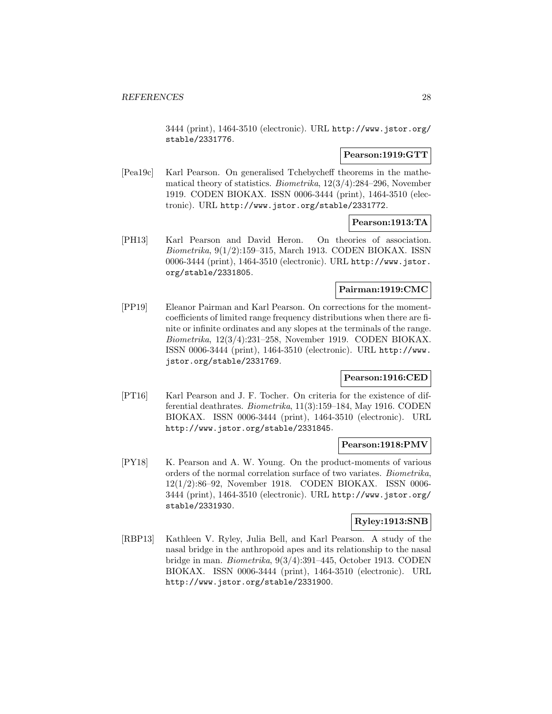3444 (print), 1464-3510 (electronic). URL http://www.jstor.org/ stable/2331776.

### **Pearson:1919:GTT**

[Pea19c] Karl Pearson. On generalised Tchebycheff theorems in the mathematical theory of statistics. Biometrika, 12(3/4):284–296, November 1919. CODEN BIOKAX. ISSN 0006-3444 (print), 1464-3510 (electronic). URL http://www.jstor.org/stable/2331772.

### **Pearson:1913:TA**

[PH13] Karl Pearson and David Heron. On theories of association. Biometrika, 9(1/2):159–315, March 1913. CODEN BIOKAX. ISSN 0006-3444 (print), 1464-3510 (electronic). URL http://www.jstor. org/stable/2331805.

### **Pairman:1919:CMC**

[PP19] Eleanor Pairman and Karl Pearson. On corrections for the momentcoefficients of limited range frequency distributions when there are finite or infinite ordinates and any slopes at the terminals of the range. Biometrika, 12(3/4):231–258, November 1919. CODEN BIOKAX. ISSN 0006-3444 (print), 1464-3510 (electronic). URL http://www. jstor.org/stable/2331769.

### **Pearson:1916:CED**

[PT16] Karl Pearson and J. F. Tocher. On criteria for the existence of differential deathrates. Biometrika, 11(3):159–184, May 1916. CODEN BIOKAX. ISSN 0006-3444 (print), 1464-3510 (electronic). URL http://www.jstor.org/stable/2331845.

### **Pearson:1918:PMV**

[PY18] K. Pearson and A. W. Young. On the product-moments of various orders of the normal correlation surface of two variates. Biometrika, 12(1/2):86–92, November 1918. CODEN BIOKAX. ISSN 0006- 3444 (print), 1464-3510 (electronic). URL http://www.jstor.org/ stable/2331930.

# **Ryley:1913:SNB**

[RBP13] Kathleen V. Ryley, Julia Bell, and Karl Pearson. A study of the nasal bridge in the anthropoid apes and its relationship to the nasal bridge in man. Biometrika, 9(3/4):391–445, October 1913. CODEN BIOKAX. ISSN 0006-3444 (print), 1464-3510 (electronic). URL http://www.jstor.org/stable/2331900.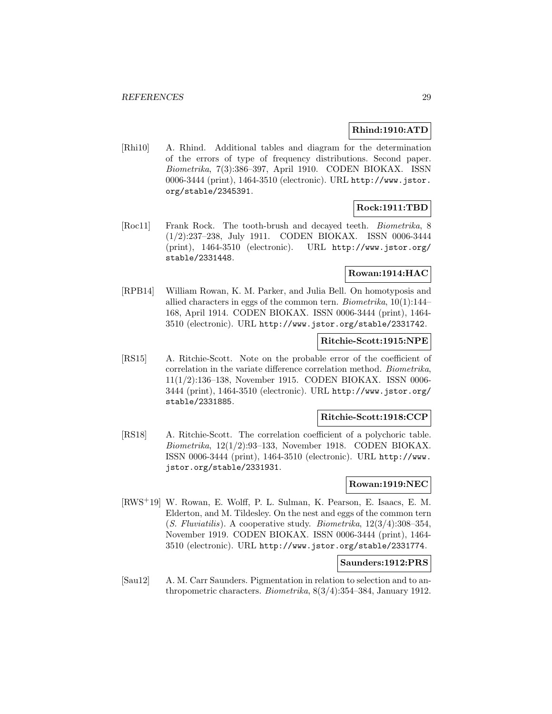### **Rhind:1910:ATD**

[Rhi10] A. Rhind. Additional tables and diagram for the determination of the errors of type of frequency distributions. Second paper. Biometrika, 7(3):386–397, April 1910. CODEN BIOKAX. ISSN 0006-3444 (print), 1464-3510 (electronic). URL http://www.jstor. org/stable/2345391.

# **Rock:1911:TBD**

[Roc11] Frank Rock. The tooth-brush and decayed teeth. Biometrika, 8 (1/2):237–238, July 1911. CODEN BIOKAX. ISSN 0006-3444 (print), 1464-3510 (electronic). URL http://www.jstor.org/ stable/2331448.

# **Rowan:1914:HAC**

[RPB14] William Rowan, K. M. Parker, and Julia Bell. On homotyposis and allied characters in eggs of the common tern. Biometrika, 10(1):144– 168, April 1914. CODEN BIOKAX. ISSN 0006-3444 (print), 1464- 3510 (electronic). URL http://www.jstor.org/stable/2331742.

# **Ritchie-Scott:1915:NPE**

[RS15] A. Ritchie-Scott. Note on the probable error of the coefficient of correlation in the variate difference correlation method. Biometrika, 11(1/2):136–138, November 1915. CODEN BIOKAX. ISSN 0006- 3444 (print), 1464-3510 (electronic). URL http://www.jstor.org/ stable/2331885.

# **Ritchie-Scott:1918:CCP**

[RS18] A. Ritchie-Scott. The correlation coefficient of a polychoric table. Biometrika, 12(1/2):93–133, November 1918. CODEN BIOKAX. ISSN 0006-3444 (print), 1464-3510 (electronic). URL http://www. jstor.org/stable/2331931.

### **Rowan:1919:NEC**

[RWS<sup>+</sup>19] W. Rowan, E. Wolff, P. L. Sulman, K. Pearson, E. Isaacs, E. M. Elderton, and M. Tildesley. On the nest and eggs of the common tern  $(S. Fluviatilis)$ . A cooperative study. *Biometrika*,  $12(3/4):308-354$ , November 1919. CODEN BIOKAX. ISSN 0006-3444 (print), 1464- 3510 (electronic). URL http://www.jstor.org/stable/2331774.

### **Saunders:1912:PRS**

[Sau12] A. M. Carr Saunders. Pigmentation in relation to selection and to anthropometric characters. Biometrika, 8(3/4):354–384, January 1912.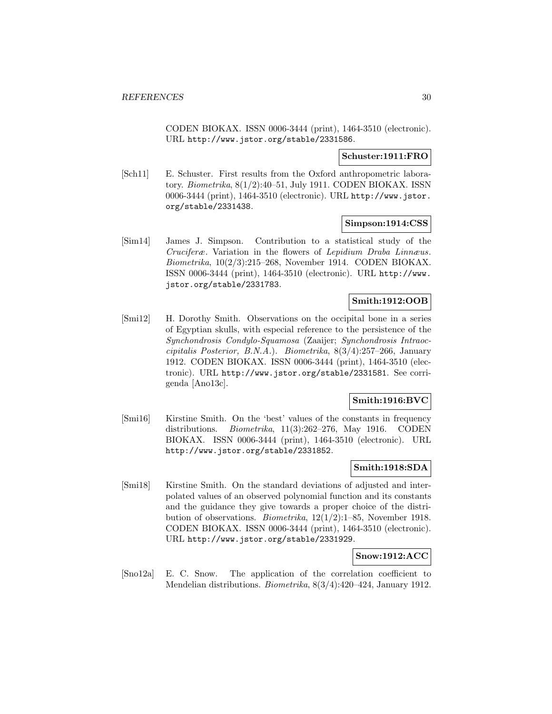CODEN BIOKAX. ISSN 0006-3444 (print), 1464-3510 (electronic). URL http://www.jstor.org/stable/2331586.

### **Schuster:1911:FRO**

[Sch11] E. Schuster. First results from the Oxford anthropometric laboratory. Biometrika, 8(1/2):40–51, July 1911. CODEN BIOKAX. ISSN 0006-3444 (print), 1464-3510 (electronic). URL http://www.jstor. org/stable/2331438.

### **Simpson:1914:CSS**

[Sim14] James J. Simpson. Contribution to a statistical study of the Cruciferæ. Variation in the flowers of Lepidium Draba Linnæus. Biometrika, 10(2/3):215–268, November 1914. CODEN BIOKAX. ISSN 0006-3444 (print), 1464-3510 (electronic). URL http://www. jstor.org/stable/2331783.

### **Smith:1912:OOB**

[Smi12] H. Dorothy Smith. Observations on the occipital bone in a series of Egyptian skulls, with especial reference to the persistence of the Synchondrosis Condylo-Squamosa (Zaaijer; Synchondrosis Intraoccipitalis Posterior, B.N.A.). Biometrika, 8(3/4):257–266, January 1912. CODEN BIOKAX. ISSN 0006-3444 (print), 1464-3510 (electronic). URL http://www.jstor.org/stable/2331581. See corrigenda [Ano13c].

# **Smith:1916:BVC**

[Smi16] Kirstine Smith. On the 'best' values of the constants in frequency distributions. Biometrika, 11(3):262–276, May 1916. CODEN BIOKAX. ISSN 0006-3444 (print), 1464-3510 (electronic). URL http://www.jstor.org/stable/2331852.

### **Smith:1918:SDA**

[Smi18] Kirstine Smith. On the standard deviations of adjusted and interpolated values of an observed polynomial function and its constants and the guidance they give towards a proper choice of the distribution of observations. Biometrika, 12(1/2):1–85, November 1918. CODEN BIOKAX. ISSN 0006-3444 (print), 1464-3510 (electronic). URL http://www.jstor.org/stable/2331929.

### **Snow:1912:ACC**

[Sno12a] E. C. Snow. The application of the correlation coefficient to Mendelian distributions. Biometrika, 8(3/4):420–424, January 1912.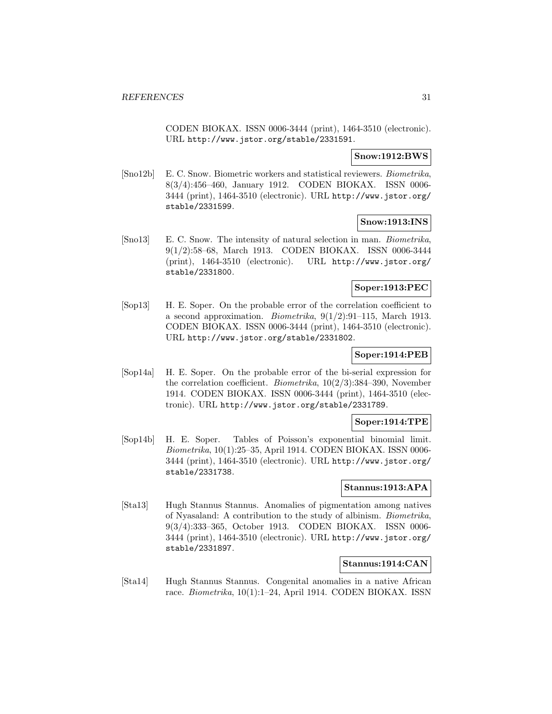CODEN BIOKAX. ISSN 0006-3444 (print), 1464-3510 (electronic). URL http://www.jstor.org/stable/2331591.

### **Snow:1912:BWS**

[Sno12b] E. C. Snow. Biometric workers and statistical reviewers. Biometrika, 8(3/4):456–460, January 1912. CODEN BIOKAX. ISSN 0006- 3444 (print), 1464-3510 (electronic). URL http://www.jstor.org/ stable/2331599.

# **Snow:1913:INS**

[Sno13] E. C. Snow. The intensity of natural selection in man. Biometrika, 9(1/2):58–68, March 1913. CODEN BIOKAX. ISSN 0006-3444 (print), 1464-3510 (electronic). URL http://www.jstor.org/ stable/2331800.

# **Soper:1913:PEC**

[Sop13] H. E. Soper. On the probable error of the correlation coefficient to a second approximation. *Biometrika*,  $9(1/2):91-115$ , March 1913. CODEN BIOKAX. ISSN 0006-3444 (print), 1464-3510 (electronic). URL http://www.jstor.org/stable/2331802.

# **Soper:1914:PEB**

[Sop14a] H. E. Soper. On the probable error of the bi-serial expression for the correlation coefficient. Biometrika, 10(2/3):384–390, November 1914. CODEN BIOKAX. ISSN 0006-3444 (print), 1464-3510 (electronic). URL http://www.jstor.org/stable/2331789.

### **Soper:1914:TPE**

[Sop14b] H. E. Soper. Tables of Poisson's exponential binomial limit. Biometrika, 10(1):25–35, April 1914. CODEN BIOKAX. ISSN 0006- 3444 (print), 1464-3510 (electronic). URL http://www.jstor.org/ stable/2331738.

### **Stannus:1913:APA**

[Sta13] Hugh Stannus Stannus. Anomalies of pigmentation among natives of Nyasaland: A contribution to the study of albinism. Biometrika, 9(3/4):333–365, October 1913. CODEN BIOKAX. ISSN 0006- 3444 (print), 1464-3510 (electronic). URL http://www.jstor.org/ stable/2331897.

# **Stannus:1914:CAN**

[Sta14] Hugh Stannus Stannus. Congenital anomalies in a native African race. Biometrika, 10(1):1–24, April 1914. CODEN BIOKAX. ISSN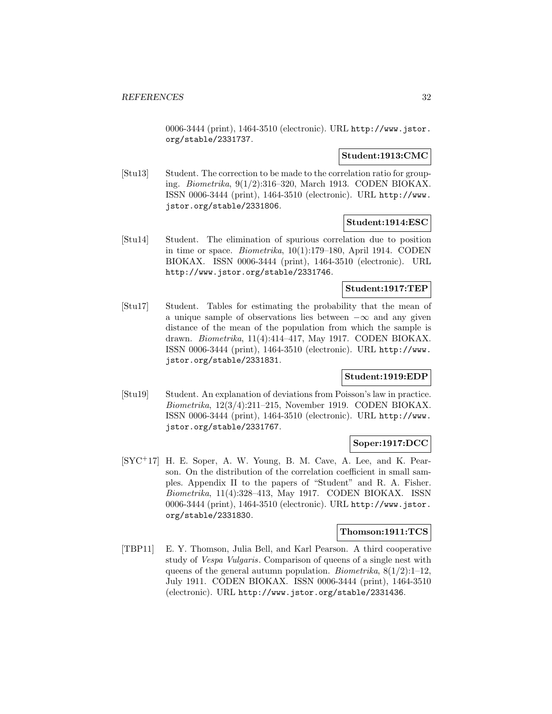0006-3444 (print), 1464-3510 (electronic). URL http://www.jstor. org/stable/2331737.

### **Student:1913:CMC**

[Stu13] Student. The correction to be made to the correlation ratio for grouping. Biometrika, 9(1/2):316–320, March 1913. CODEN BIOKAX. ISSN 0006-3444 (print), 1464-3510 (electronic). URL http://www. jstor.org/stable/2331806.

### **Student:1914:ESC**

[Stu14] Student. The elimination of spurious correlation due to position in time or space. Biometrika, 10(1):179–180, April 1914. CODEN BIOKAX. ISSN 0006-3444 (print), 1464-3510 (electronic). URL http://www.jstor.org/stable/2331746.

### **Student:1917:TEP**

[Stu17] Student. Tables for estimating the probability that the mean of a unique sample of observations lies between  $-\infty$  and any given distance of the mean of the population from which the sample is drawn. Biometrika, 11(4):414–417, May 1917. CODEN BIOKAX. ISSN 0006-3444 (print), 1464-3510 (electronic). URL http://www. jstor.org/stable/2331831.

### **Student:1919:EDP**

[Stu19] Student. An explanation of deviations from Poisson's law in practice. Biometrika, 12(3/4):211–215, November 1919. CODEN BIOKAX. ISSN 0006-3444 (print), 1464-3510 (electronic). URL http://www. jstor.org/stable/2331767.

### **Soper:1917:DCC**

[SYC<sup>+</sup>17] H. E. Soper, A. W. Young, B. M. Cave, A. Lee, and K. Pearson. On the distribution of the correlation coefficient in small samples. Appendix II to the papers of "Student" and R. A. Fisher. Biometrika, 11(4):328–413, May 1917. CODEN BIOKAX. ISSN 0006-3444 (print), 1464-3510 (electronic). URL http://www.jstor. org/stable/2331830.

#### **Thomson:1911:TCS**

[TBP11] E. Y. Thomson, Julia Bell, and Karl Pearson. A third cooperative study of Vespa Vulgaris. Comparison of queens of a single nest with queens of the general autumn population. Biometrika,  $8(1/2):1-12$ , July 1911. CODEN BIOKAX. ISSN 0006-3444 (print), 1464-3510 (electronic). URL http://www.jstor.org/stable/2331436.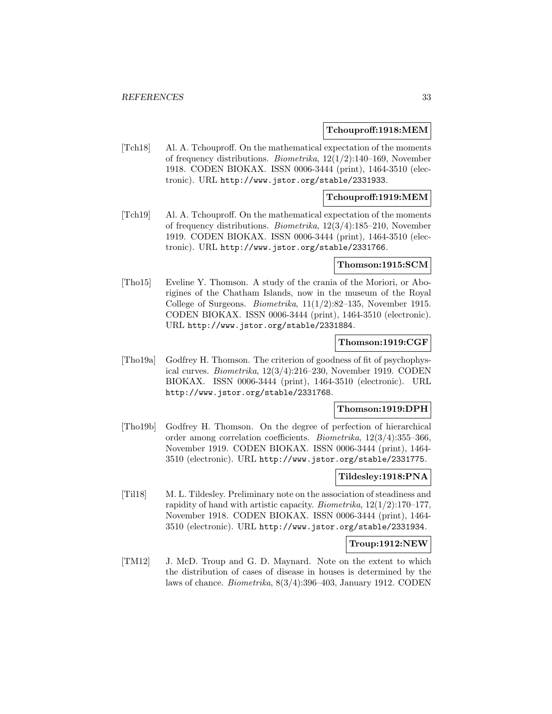### **Tchouproff:1918:MEM**

[Tch18] Al. A. Tchouproff. On the mathematical expectation of the moments of frequency distributions. Biometrika, 12(1/2):140–169, November 1918. CODEN BIOKAX. ISSN 0006-3444 (print), 1464-3510 (electronic). URL http://www.jstor.org/stable/2331933.

### **Tchouproff:1919:MEM**

[Tch19] Al. A. Tchouproff. On the mathematical expectation of the moments of frequency distributions. Biometrika, 12(3/4):185–210, November 1919. CODEN BIOKAX. ISSN 0006-3444 (print), 1464-3510 (electronic). URL http://www.jstor.org/stable/2331766.

#### **Thomson:1915:SCM**

[Tho15] Eveline Y. Thomson. A study of the crania of the Moriori, or Aborigines of the Chatham Islands, now in the museum of the Royal College of Surgeons. *Biometrika*,  $11(1/2)$ :82–135, November 1915. CODEN BIOKAX. ISSN 0006-3444 (print), 1464-3510 (electronic). URL http://www.jstor.org/stable/2331884.

### **Thomson:1919:CGF**

[Tho19a] Godfrey H. Thomson. The criterion of goodness of fit of psychophysical curves. Biometrika, 12(3/4):216–230, November 1919. CODEN BIOKAX. ISSN 0006-3444 (print), 1464-3510 (electronic). URL http://www.jstor.org/stable/2331768.

### **Thomson:1919:DPH**

[Tho19b] Godfrey H. Thomson. On the degree of perfection of hierarchical order among correlation coefficients. Biometrika, 12(3/4):355–366, November 1919. CODEN BIOKAX. ISSN 0006-3444 (print), 1464- 3510 (electronic). URL http://www.jstor.org/stable/2331775.

# **Tildesley:1918:PNA**

[Til18] M. L. Tildesley. Preliminary note on the association of steadiness and rapidity of hand with artistic capacity. Biometrika,  $12(1/2)$ :170–177, November 1918. CODEN BIOKAX. ISSN 0006-3444 (print), 1464- 3510 (electronic). URL http://www.jstor.org/stable/2331934.

### **Troup:1912:NEW**

[TM12] J. McD. Troup and G. D. Maynard. Note on the extent to which the distribution of cases of disease in houses is determined by the laws of chance. Biometrika, 8(3/4):396–403, January 1912. CODEN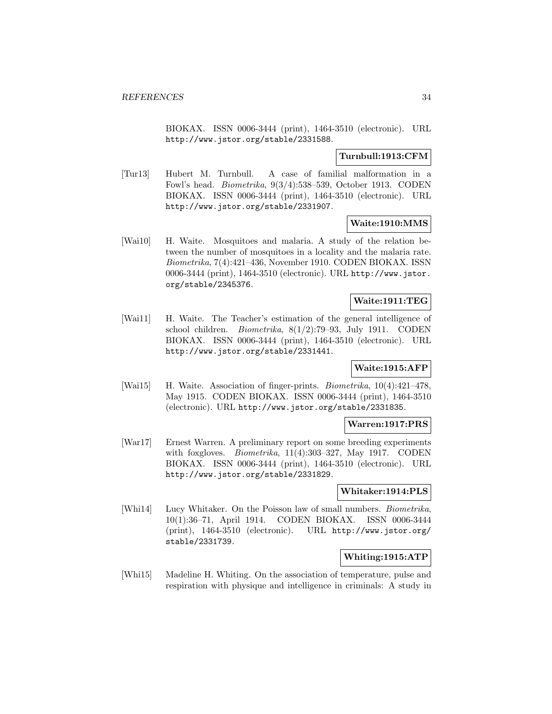BIOKAX. ISSN 0006-3444 (print), 1464-3510 (electronic). URL http://www.jstor.org/stable/2331588.

### **Turnbull:1913:CFM**

[Tur13] Hubert M. Turnbull. A case of familial malformation in a Fowl's head. Biometrika, 9(3/4):538–539, October 1913. CODEN BIOKAX. ISSN 0006-3444 (print), 1464-3510 (electronic). URL http://www.jstor.org/stable/2331907.

### **Waite:1910:MMS**

[Wai10] H. Waite. Mosquitoes and malaria. A study of the relation between the number of mosquitoes in a locality and the malaria rate. Biometrika, 7(4):421–436, November 1910. CODEN BIOKAX. ISSN 0006-3444 (print), 1464-3510 (electronic). URL http://www.jstor. org/stable/2345376.

# **Waite:1911:TEG**

[Wai11] H. Waite. The Teacher's estimation of the general intelligence of school children. Biometrika, 8(1/2):79–93, July 1911. CODEN BIOKAX. ISSN 0006-3444 (print), 1464-3510 (electronic). URL http://www.jstor.org/stable/2331441.

# **Waite:1915:AFP**

[Wai15] H. Waite. Association of finger-prints. Biometrika, 10(4):421–478, May 1915. CODEN BIOKAX. ISSN 0006-3444 (print), 1464-3510 (electronic). URL http://www.jstor.org/stable/2331835.

### **Warren:1917:PRS**

[War17] Ernest Warren. A preliminary report on some breeding experiments with foxgloves. *Biometrika*, 11(4):303-327, May 1917. CODEN BIOKAX. ISSN 0006-3444 (print), 1464-3510 (electronic). URL http://www.jstor.org/stable/2331829.

### **Whitaker:1914:PLS**

[Whi14] Lucy Whitaker. On the Poisson law of small numbers. Biometrika, 10(1):36–71, April 1914. CODEN BIOKAX. ISSN 0006-3444 (print), 1464-3510 (electronic). URL http://www.jstor.org/ stable/2331739.

### **Whiting:1915:ATP**

[Whi15] Madeline H. Whiting. On the association of temperature, pulse and respiration with physique and intelligence in criminals: A study in